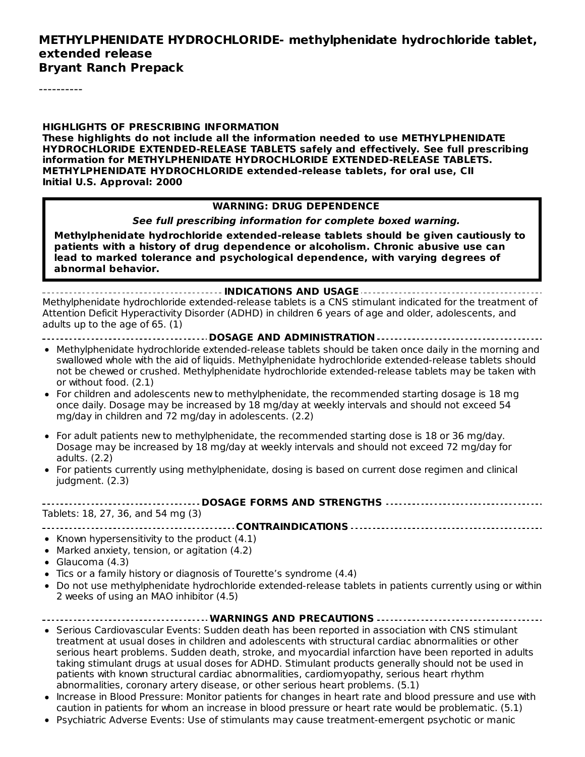#### **METHYLPHENIDATE HYDROCHLORIDE- methylphenidate hydrochloride tablet, extended release Bryant Ranch Prepack**

----------

**HIGHLIGHTS OF PRESCRIBING INFORMATION These highlights do not include all the information needed to use METHYLPHENIDATE HYDROCHLORIDE EXTENDED-RELEASE TABLETS safely and effectively. See full prescribing information for METHYLPHENIDATE HYDROCHLORIDE EXTENDED-RELEASE TABLETS. METHYLPHENIDATE HYDROCHLORIDE extended-release tablets, for oral use, CII Initial U.S. Approval: 2000**

#### **WARNING: DRUG DEPENDENCE**

#### **See full prescribing information for complete boxed warning.**

**Methylphenidate hydrochloride extended-release tablets should be given cautiously to patients with a history of drug dependence or alcoholism. Chronic abusive use can lead to marked tolerance and psychological dependence, with varying degrees of abnormal behavior.**

**INDICATIONS AND USAGE** Methylphenidate hydrochloride extended-release tablets is a CNS stimulant indicated for the treatment of Attention Deficit Hyperactivity Disorder (ADHD) in children 6 years of age and older, adolescents, and adults up to the age of 65. (1)

- **DOSAGE AND ADMINISTRATION**
- Methylphenidate hydrochloride extended-release tablets should be taken once daily in the morning and swallowed whole with the aid of liquids. Methylphenidate hydrochloride extended-release tablets should not be chewed or crushed. Methylphenidate hydrochloride extended-release tablets may be taken with or without food. (2.1)
- For children and adolescents new to methylphenidate, the recommended starting dosage is 18 mg once daily. Dosage may be increased by 18 mg/day at weekly intervals and should not exceed 54 mg/day in children and 72 mg/day in adolescents. (2.2)
- For adult patients new to methylphenidate, the recommended starting dose is 18 or 36 mg/day. Dosage may be increased by 18 mg/day at weekly intervals and should not exceed 72 mg/day for adults. (2.2)
- For patients currently using methylphenidate, dosing is based on current dose regimen and clinical judgment. (2.3)

| ------------------------------------DOSAGE FORMS AND STRENGTHS ----------------------------------- |  |
|----------------------------------------------------------------------------------------------------|--|
| Tablets: 18, 27, 36, and 54 mg (3)                                                                 |  |

**CONTRAINDICATIONS**

- Known hypersensitivity to the product  $(4.1)$
- Marked anxiety, tension, or agitation (4.2)
- Glaucoma (4.3)
- Tics or a family history or diagnosis of Tourette's syndrome (4.4)
- Do not use methylphenidate hydrochloride extended-release tablets in patients currently using or within  $\bullet$ 2 weeks of using an MAO inhibitor (4.5)

#### **WARNINGS AND PRECAUTIONS**

- Serious Cardiovascular Events: Sudden death has been reported in association with CNS stimulant treatment at usual doses in children and adolescents with structural cardiac abnormalities or other serious heart problems. Sudden death, stroke, and myocardial infarction have been reported in adults taking stimulant drugs at usual doses for ADHD. Stimulant products generally should not be used in patients with known structural cardiac abnormalities, cardiomyopathy, serious heart rhythm abnormalities, coronary artery disease, or other serious heart problems. (5.1)
- Increase in Blood Pressure: Monitor patients for changes in heart rate and blood pressure and use with caution in patients for whom an increase in blood pressure or heart rate would be problematic. (5.1)
- Psychiatric Adverse Events: Use of stimulants may cause treatment-emergent psychotic or manic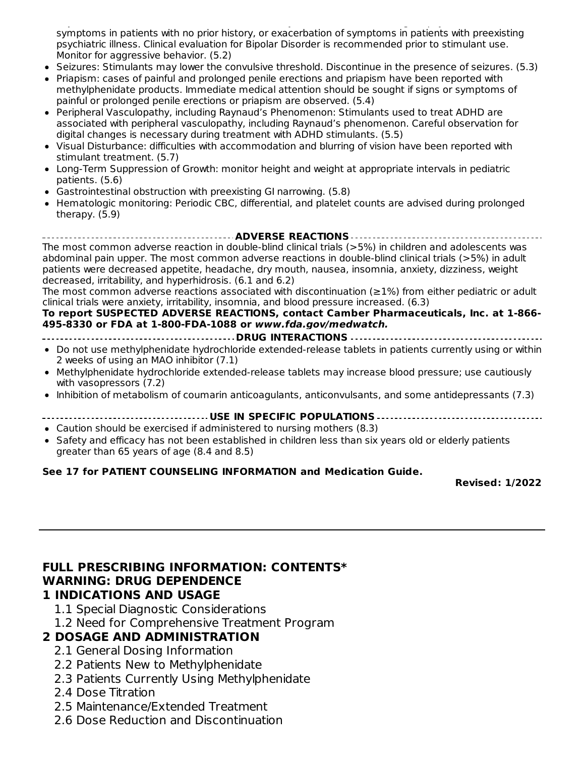Psychiatric Adverse Events: Use of stimulants may cause treatment-emergent psychotic or manic symptoms in patients with no prior history, or exacerbation of symptoms in patients with preexisting psychiatric illness. Clinical evaluation for Bipolar Disorder is recommended prior to stimulant use. Monitor for aggressive behavior. (5.2)

- Seizures: Stimulants may lower the convulsive threshold. Discontinue in the presence of seizures. (5.3)
- Priapism: cases of painful and prolonged penile erections and priapism have been reported with methylphenidate products. Immediate medical attention should be sought if signs or symptoms of painful or prolonged penile erections or priapism are observed. (5.4)
- Peripheral Vasculopathy, including Raynaud's Phenomenon: Stimulants used to treat ADHD are associated with peripheral vasculopathy, including Raynaud's phenomenon. Careful observation for digital changes is necessary during treatment with ADHD stimulants. (5.5)
- Visual Disturbance: difficulties with accommodation and blurring of vision have been reported with stimulant treatment. (5.7)
- Long-Term Suppression of Growth: monitor height and weight at appropriate intervals in pediatric patients. (5.6)
- Gastrointestinal obstruction with preexisting GI narrowing. (5.8)
- Hematologic monitoring: Periodic CBC, differential, and platelet counts are advised during prolonged therapy. (5.9)

**ADVERSE REACTIONS** The most common adverse reaction in double-blind clinical trials (>5%) in children and adolescents was abdominal pain upper. The most common adverse reactions in double-blind clinical trials (>5%) in adult patients were decreased appetite, headache, dry mouth, nausea, insomnia, anxiety, dizziness, weight decreased, irritability, and hyperhidrosis. (6.1 and 6.2) The most common adverse reactions associated with discontinuation (≥1%) from either pediatric or adult clinical trials were anxiety, irritability, insomnia, and blood pressure increased. (6.3) **To report SUSPECTED ADVERSE REACTIONS, contact Camber Pharmaceuticals, Inc. at 1-866- 495-8330 or FDA at 1-800-FDA-1088 or www.fda.gov/medwatch. DRUG INTERACTIONS** Do not use methylphenidate hydrochloride extended-release tablets in patients currently using or within 2 weeks of using an MAO inhibitor (7.1) Methylphenidate hydrochloride extended-release tablets may increase blood pressure; use cautiously with vasopressors (7.2) Inhibition of metabolism of coumarin anticoagulants, anticonvulsants, and some antidepressants (7.3)

- **USE IN SPECIFIC POPULATIONS**
- Caution should be exercised if administered to nursing mothers (8.3)
- Safety and efficacy has not been established in children less than six years old or elderly patients greater than 65 years of age (8.4 and 8.5)

#### **See 17 for PATIENT COUNSELING INFORMATION and Medication Guide.**

**Revised: 1/2022**

## **FULL PRESCRIBING INFORMATION: CONTENTS\* WARNING: DRUG DEPENDENCE**

## **1 INDICATIONS AND USAGE**

- 1.1 Special Diagnostic Considerations
- 1.2 Need for Comprehensive Treatment Program

#### **2 DOSAGE AND ADMINISTRATION**

- 2.1 General Dosing Information
- 2.2 Patients New to Methylphenidate
- 2.3 Patients Currently Using Methylphenidate
- 2.4 Dose Titration
- 2.5 Maintenance/Extended Treatment
- 2.6 Dose Reduction and Discontinuation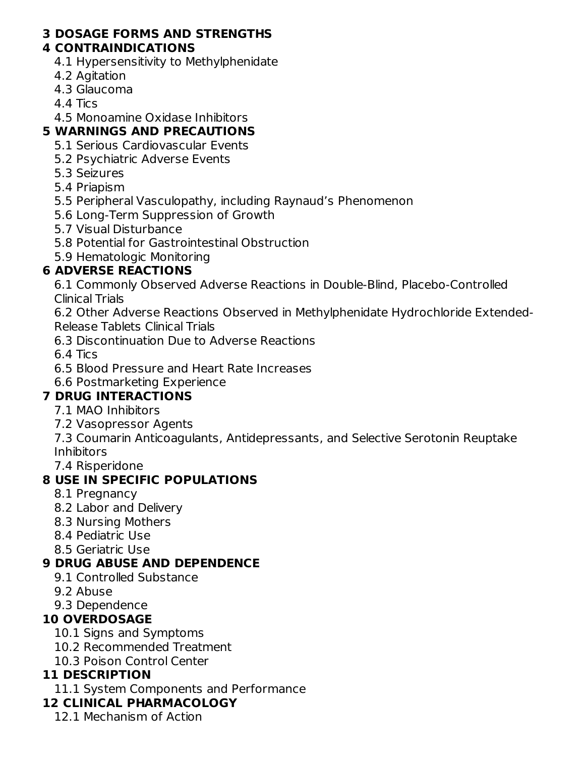### **3 DOSAGE FORMS AND STRENGTHS**

#### **4 CONTRAINDICATIONS**

- 4.1 Hypersensitivity to Methylphenidate
- 4.2 Agitation
- 4.3 Glaucoma
- 4.4 Tics
- 4.5 Monoamine Oxidase Inhibitors

## **5 WARNINGS AND PRECAUTIONS**

- 5.1 Serious Cardiovascular Events
- 5.2 Psychiatric Adverse Events
- 5.3 Seizures
- 5.4 Priapism
- 5.5 Peripheral Vasculopathy, including Raynaud's Phenomenon
- 5.6 Long-Term Suppression of Growth
- 5.7 Visual Disturbance
- 5.8 Potential for Gastrointestinal Obstruction
- 5.9 Hematologic Monitoring

### **6 ADVERSE REACTIONS**

6.1 Commonly Observed Adverse Reactions in Double-Blind, Placebo-Controlled Clinical Trials

6.2 Other Adverse Reactions Observed in Methylphenidate Hydrochloride Extended-Release Tablets Clinical Trials

6.3 Discontinuation Due to Adverse Reactions

6.4 Tics

6.5 Blood Pressure and Heart Rate Increases

6.6 Postmarketing Experience

## **7 DRUG INTERACTIONS**

- 7.1 MAO Inhibitors
- 7.2 Vasopressor Agents

7.3 Coumarin Anticoagulants, Antidepressants, and Selective Serotonin Reuptake **Inhibitors** 

7.4 Risperidone

## **8 USE IN SPECIFIC POPULATIONS**

- 8.1 Pregnancy
- 8.2 Labor and Delivery
- 8.3 Nursing Mothers
- 8.4 Pediatric Use
- 8.5 Geriatric Use

### **9 DRUG ABUSE AND DEPENDENCE**

- 9.1 Controlled Substance
- 9.2 Abuse
- 9.3 Dependence

### **10 OVERDOSAGE**

- 10.1 Signs and Symptoms
- 10.2 Recommended Treatment
- 10.3 Poison Control Center

### **11 DESCRIPTION**

11.1 System Components and Performance

## **12 CLINICAL PHARMACOLOGY**

12.1 Mechanism of Action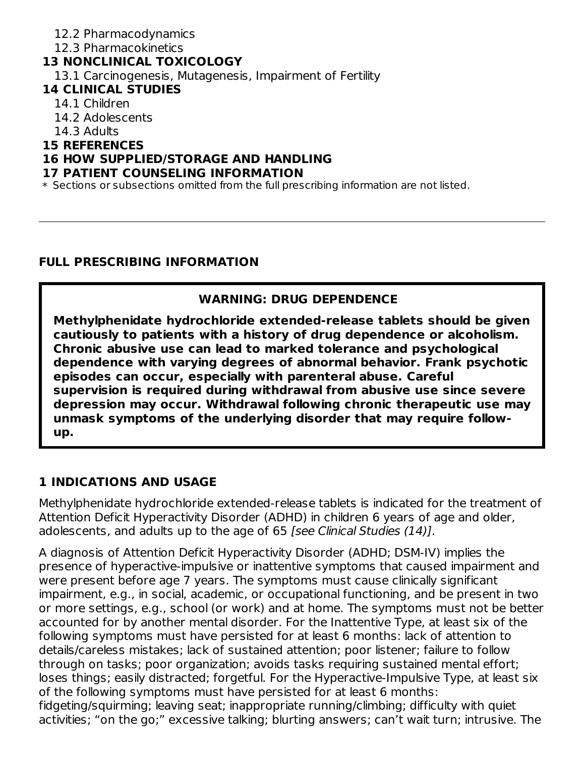- 12.2 Pharmacodynamics
- 12.3 Pharmacokinetics

#### **13 NONCLINICAL TOXICOLOGY**

13.1 Carcinogenesis, Mutagenesis, Impairment of Fertility

#### **14 CLINICAL STUDIES**

- 14.1 Children
- 14.2 Adolescents
- 14.3 Adults

#### **15 REFERENCES**

#### **16 HOW SUPPLIED/STORAGE AND HANDLING**

#### **17 PATIENT COUNSELING INFORMATION**

\* Sections or subsections omitted from the full prescribing information are not listed.

### **FULL PRESCRIBING INFORMATION**

## **WARNING: DRUG DEPENDENCE**

**Methylphenidate hydrochloride extended-release tablets should be given cautiously to patients with a history of drug dependence or alcoholism. Chronic abusive use can lead to marked tolerance and psychological dependence with varying degrees of abnormal behavior. Frank psychotic episodes can occur, especially with parenteral abuse. Careful supervision is required during withdrawal from abusive use since severe depression may occur. Withdrawal following chronic therapeutic use may unmask symptoms of the underlying disorder that may require followup.**

### **1 INDICATIONS AND USAGE**

Methylphenidate hydrochloride extended-release tablets is indicated for the treatment of Attention Deficit Hyperactivity Disorder (ADHD) in children 6 years of age and older, adolescents, and adults up to the age of 65 [see Clinical Studies (14)].

A diagnosis of Attention Deficit Hyperactivity Disorder (ADHD; DSM-IV) implies the presence of hyperactive-impulsive or inattentive symptoms that caused impairment and were present before age 7 years. The symptoms must cause clinically significant impairment, e.g., in social, academic, or occupational functioning, and be present in two or more settings, e.g., school (or work) and at home. The symptoms must not be better accounted for by another mental disorder. For the Inattentive Type, at least six of the following symptoms must have persisted for at least 6 months: lack of attention to details/careless mistakes; lack of sustained attention; poor listener; failure to follow through on tasks; poor organization; avoids tasks requiring sustained mental effort; loses things; easily distracted; forgetful. For the Hyperactive-Impulsive Type, at least six of the following symptoms must have persisted for at least 6 months: fidgeting/squirming; leaving seat; inappropriate running/climbing; difficulty with quiet activities; "on the go;" excessive talking; blurting answers; can't wait turn; intrusive. The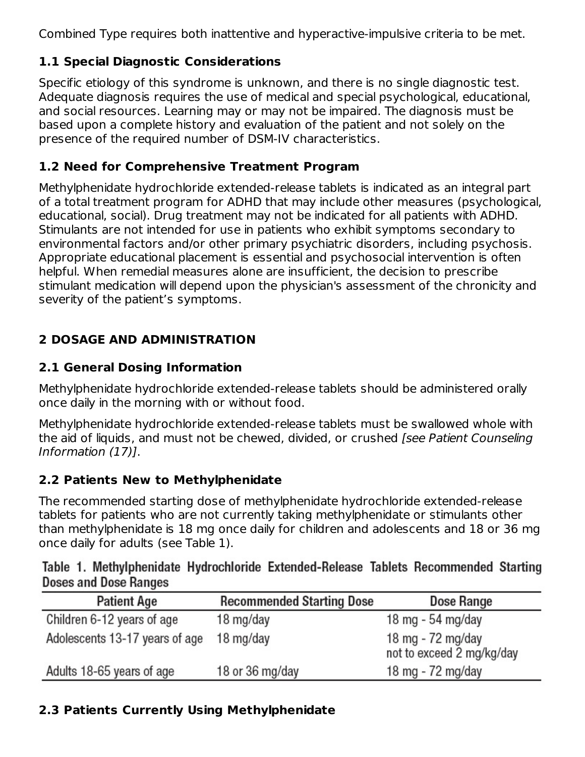Combined Type requires both inattentive and hyperactive-impulsive criteria to be met.

## **1.1 Special Diagnostic Considerations**

Specific etiology of this syndrome is unknown, and there is no single diagnostic test. Adequate diagnosis requires the use of medical and special psychological, educational, and social resources. Learning may or may not be impaired. The diagnosis must be based upon a complete history and evaluation of the patient and not solely on the presence of the required number of DSM-IV characteristics.

## **1.2 Need for Comprehensive Treatment Program**

Methylphenidate hydrochloride extended-release tablets is indicated as an integral part of a total treatment program for ADHD that may include other measures (psychological, educational, social). Drug treatment may not be indicated for all patients with ADHD. Stimulants are not intended for use in patients who exhibit symptoms secondary to environmental factors and/or other primary psychiatric disorders, including psychosis. Appropriate educational placement is essential and psychosocial intervention is often helpful. When remedial measures alone are insufficient, the decision to prescribe stimulant medication will depend upon the physician's assessment of the chronicity and severity of the patient's symptoms.

## **2 DOSAGE AND ADMINISTRATION**

## **2.1 General Dosing Information**

Methylphenidate hydrochloride extended-release tablets should be administered orally once daily in the morning with or without food.

Methylphenidate hydrochloride extended-release tablets must be swallowed whole with the aid of liquids, and must not be chewed, divided, or crushed [see Patient Counseling Information (17)].

## **2.2 Patients New to Methylphenidate**

The recommended starting dose of methylphenidate hydrochloride extended-release tablets for patients who are not currently taking methylphenidate or stimulants other than methylphenidate is 18 mg once daily for children and adolescents and 18 or 36 mg once daily for adults (see Table 1).

|                       | Table 1. Methylphenidate Hydrochloride Extended-Release Tablets Recommended Starting |  |  |
|-----------------------|--------------------------------------------------------------------------------------|--|--|
| Doses and Dose Ranges |                                                                                      |  |  |

| <b>Patient Age</b>             | <b>Recommended Starting Dose</b> | Dose Range                                     |
|--------------------------------|----------------------------------|------------------------------------------------|
| Children 6-12 years of age     | 18 mg/day                        | 18 mg - 54 mg/day                              |
| Adolescents 13-17 years of age | 18 mg/day                        | 18 mg - 72 mg/day<br>not to exceed 2 mg/kg/day |
| Adults 18-65 years of age      | 18 or 36 mg/day                  | 18 mg - 72 mg/day                              |

## **2.3 Patients Currently Using Methylphenidate**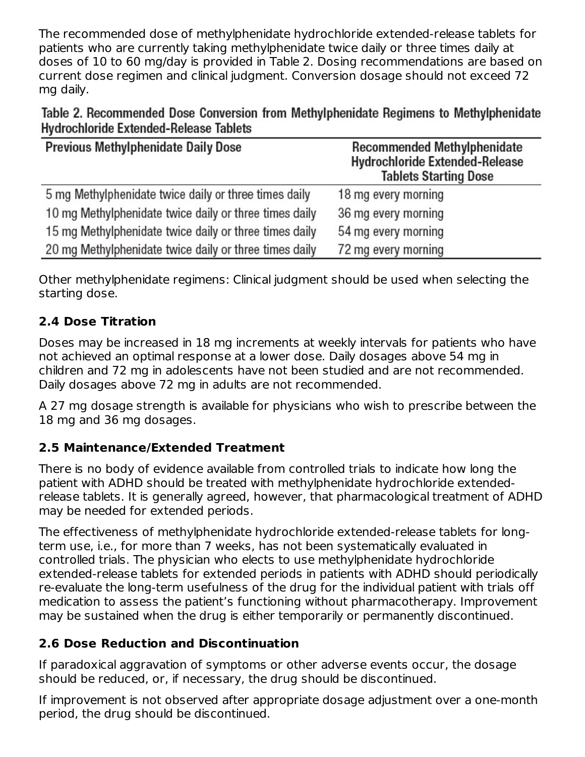The recommended dose of methylphenidate hydrochloride extended-release tablets for patients who are currently taking methylphenidate twice daily or three times daily at doses of 10 to 60 mg/day is provided in Table 2. Dosing recommendations are based on current dose regimen and clinical judgment. Conversion dosage should not exceed 72 mg daily.

Table 2. Recommended Dose Conversion from Methylphenidate Regimens to Methylphenidate **Hydrochloride Extended-Release Tablets** 

| Previous Methylphenidate Daily Dose                    | <b>Recommended Methylphenidate</b><br><b>Hydrochloride Extended-Release</b><br><b>Tablets Starting Dose</b> |
|--------------------------------------------------------|-------------------------------------------------------------------------------------------------------------|
| 5 mg Methylphenidate twice daily or three times daily  | 18 mg every morning                                                                                         |
| 10 mg Methylphenidate twice daily or three times daily | 36 mg every morning                                                                                         |
| 15 mg Methylphenidate twice daily or three times daily | 54 mg every morning                                                                                         |
| 20 mg Methylphenidate twice daily or three times daily | 72 mg every morning                                                                                         |

Other methylphenidate regimens: Clinical judgment should be used when selecting the starting dose.

### **2.4 Dose Titration**

Doses may be increased in 18 mg increments at weekly intervals for patients who have not achieved an optimal response at a lower dose. Daily dosages above 54 mg in children and 72 mg in adolescents have not been studied and are not recommended. Daily dosages above 72 mg in adults are not recommended.

A 27 mg dosage strength is available for physicians who wish to prescribe between the 18 mg and 36 mg dosages.

### **2.5 Maintenance/Extended Treatment**

There is no body of evidence available from controlled trials to indicate how long the patient with ADHD should be treated with methylphenidate hydrochloride extendedrelease tablets. It is generally agreed, however, that pharmacological treatment of ADHD may be needed for extended periods.

The effectiveness of methylphenidate hydrochloride extended-release tablets for longterm use, i.e., for more than 7 weeks, has not been systematically evaluated in controlled trials. The physician who elects to use methylphenidate hydrochloride extended-release tablets for extended periods in patients with ADHD should periodically re-evaluate the long-term usefulness of the drug for the individual patient with trials off medication to assess the patient's functioning without pharmacotherapy. Improvement may be sustained when the drug is either temporarily or permanently discontinued.

### **2.6 Dose Reduction and Discontinuation**

If paradoxical aggravation of symptoms or other adverse events occur, the dosage should be reduced, or, if necessary, the drug should be discontinued.

If improvement is not observed after appropriate dosage adjustment over a one-month period, the drug should be discontinued.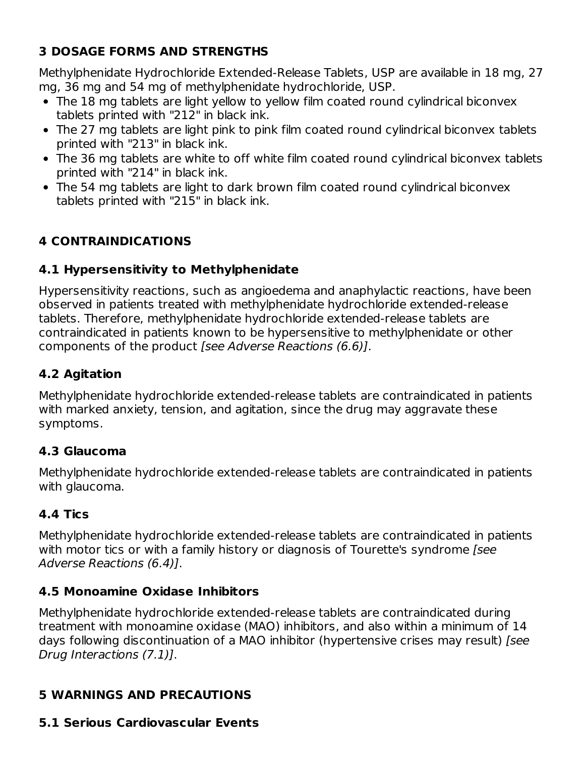## **3 DOSAGE FORMS AND STRENGTHS**

Methylphenidate Hydrochloride Extended-Release Tablets, USP are available in 18 mg, 27 mg, 36 mg and 54 mg of methylphenidate hydrochloride, USP.

- The 18 mg tablets are light yellow to yellow film coated round cylindrical biconvex tablets printed with "212" in black ink.
- The 27 mg tablets are light pink to pink film coated round cylindrical biconvex tablets printed with "213" in black ink.
- The 36 mg tablets are white to off white film coated round cylindrical biconvex tablets printed with "214" in black ink.
- The 54 mg tablets are light to dark brown film coated round cylindrical biconvex tablets printed with "215" in black ink.

# **4 CONTRAINDICATIONS**

## **4.1 Hypersensitivity to Methylphenidate**

Hypersensitivity reactions, such as angioedema and anaphylactic reactions, have been observed in patients treated with methylphenidate hydrochloride extended-release tablets. Therefore, methylphenidate hydrochloride extended-release tablets are contraindicated in patients known to be hypersensitive to methylphenidate or other components of the product [see Adverse Reactions (6.6)].

# **4.2 Agitation**

Methylphenidate hydrochloride extended-release tablets are contraindicated in patients with marked anxiety, tension, and agitation, since the drug may aggravate these symptoms.

## **4.3 Glaucoma**

Methylphenidate hydrochloride extended-release tablets are contraindicated in patients with glaucoma.

## **4.4 Tics**

Methylphenidate hydrochloride extended-release tablets are contraindicated in patients with motor tics or with a family history or diagnosis of Tourette's syndrome *[see*] Adverse Reactions (6.4)].

## **4.5 Monoamine Oxidase Inhibitors**

Methylphenidate hydrochloride extended-release tablets are contraindicated during treatment with monoamine oxidase (MAO) inhibitors, and also within a minimum of 14 days following discontinuation of a MAO inhibitor (hypertensive crises may result) [see Drug Interactions (7.1)].

# **5 WARNINGS AND PRECAUTIONS**

## **5.1 Serious Cardiovascular Events**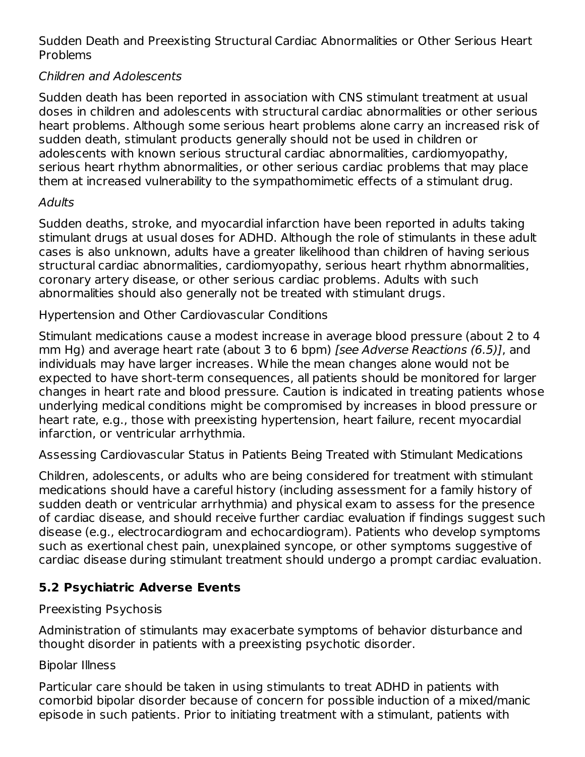Sudden Death and Preexisting Structural Cardiac Abnormalities or Other Serious Heart Problems

### Children and Adolescents

Sudden death has been reported in association with CNS stimulant treatment at usual doses in children and adolescents with structural cardiac abnormalities or other serious heart problems. Although some serious heart problems alone carry an increased risk of sudden death, stimulant products generally should not be used in children or adolescents with known serious structural cardiac abnormalities, cardiomyopathy, serious heart rhythm abnormalities, or other serious cardiac problems that may place them at increased vulnerability to the sympathomimetic effects of a stimulant drug.

#### **Adults**

Sudden deaths, stroke, and myocardial infarction have been reported in adults taking stimulant drugs at usual doses for ADHD. Although the role of stimulants in these adult cases is also unknown, adults have a greater likelihood than children of having serious structural cardiac abnormalities, cardiomyopathy, serious heart rhythm abnormalities, coronary artery disease, or other serious cardiac problems. Adults with such abnormalities should also generally not be treated with stimulant drugs.

Hypertension and Other Cardiovascular Conditions

Stimulant medications cause a modest increase in average blood pressure (about 2 to 4 mm Hg) and average heart rate (about 3 to 6 bpm) [see Adverse Reactions (6.5)], and individuals may have larger increases. While the mean changes alone would not be expected to have short-term consequences, all patients should be monitored for larger changes in heart rate and blood pressure. Caution is indicated in treating patients whose underlying medical conditions might be compromised by increases in blood pressure or heart rate, e.g., those with preexisting hypertension, heart failure, recent myocardial infarction, or ventricular arrhythmia.

Assessing Cardiovascular Status in Patients Being Treated with Stimulant Medications

Children, adolescents, or adults who are being considered for treatment with stimulant medications should have a careful history (including assessment for a family history of sudden death or ventricular arrhythmia) and physical exam to assess for the presence of cardiac disease, and should receive further cardiac evaluation if findings suggest such disease (e.g., electrocardiogram and echocardiogram). Patients who develop symptoms such as exertional chest pain, unexplained syncope, or other symptoms suggestive of cardiac disease during stimulant treatment should undergo a prompt cardiac evaluation.

## **5.2 Psychiatric Adverse Events**

### Preexisting Psychosis

Administration of stimulants may exacerbate symptoms of behavior disturbance and thought disorder in patients with a preexisting psychotic disorder.

#### Bipolar Illness

Particular care should be taken in using stimulants to treat ADHD in patients with comorbid bipolar disorder because of concern for possible induction of a mixed/manic episode in such patients. Prior to initiating treatment with a stimulant, patients with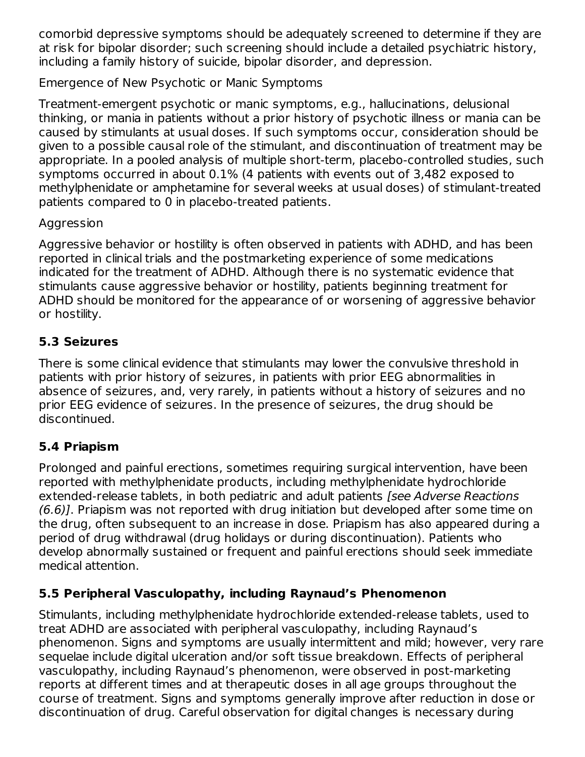comorbid depressive symptoms should be adequately screened to determine if they are at risk for bipolar disorder; such screening should include a detailed psychiatric history, including a family history of suicide, bipolar disorder, and depression.

Emergence of New Psychotic or Manic Symptoms

Treatment-emergent psychotic or manic symptoms, e.g., hallucinations, delusional thinking, or mania in patients without a prior history of psychotic illness or mania can be caused by stimulants at usual doses. If such symptoms occur, consideration should be given to a possible causal role of the stimulant, and discontinuation of treatment may be appropriate. In a pooled analysis of multiple short-term, placebo-controlled studies, such symptoms occurred in about 0.1% (4 patients with events out of 3,482 exposed to methylphenidate or amphetamine for several weeks at usual doses) of stimulant-treated patients compared to 0 in placebo-treated patients.

### Aggression

Aggressive behavior or hostility is often observed in patients with ADHD, and has been reported in clinical trials and the postmarketing experience of some medications indicated for the treatment of ADHD. Although there is no systematic evidence that stimulants cause aggressive behavior or hostility, patients beginning treatment for ADHD should be monitored for the appearance of or worsening of aggressive behavior or hostility.

## **5.3 Seizures**

There is some clinical evidence that stimulants may lower the convulsive threshold in patients with prior history of seizures, in patients with prior EEG abnormalities in absence of seizures, and, very rarely, in patients without a history of seizures and no prior EEG evidence of seizures. In the presence of seizures, the drug should be discontinued.

## **5.4 Priapism**

Prolonged and painful erections, sometimes requiring surgical intervention, have been reported with methylphenidate products, including methylphenidate hydrochloride extended-release tablets, in both pediatric and adult patients *[see Adverse Reactions* (6.6)]. Priapism was not reported with drug initiation but developed after some time on the drug, often subsequent to an increase in dose. Priapism has also appeared during a period of drug withdrawal (drug holidays or during discontinuation). Patients who develop abnormally sustained or frequent and painful erections should seek immediate medical attention.

## **5.5 Peripheral Vasculopathy, including Raynaud's Phenomenon**

Stimulants, including methylphenidate hydrochloride extended-release tablets, used to treat ADHD are associated with peripheral vasculopathy, including Raynaud's phenomenon. Signs and symptoms are usually intermittent and mild; however, very rare sequelae include digital ulceration and/or soft tissue breakdown. Effects of peripheral vasculopathy, including Raynaud's phenomenon, were observed in post-marketing reports at different times and at therapeutic doses in all age groups throughout the course of treatment. Signs and symptoms generally improve after reduction in dose or discontinuation of drug. Careful observation for digital changes is necessary during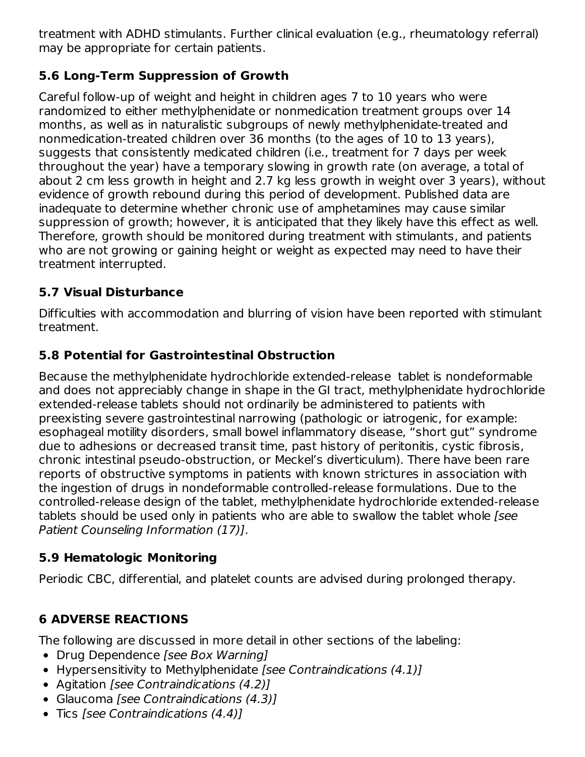treatment with ADHD stimulants. Further clinical evaluation (e.g., rheumatology referral) may be appropriate for certain patients.

## **5.6 Long-Term Suppression of Growth**

Careful follow-up of weight and height in children ages 7 to 10 years who were randomized to either methylphenidate or nonmedication treatment groups over 14 months, as well as in naturalistic subgroups of newly methylphenidate-treated and nonmedication-treated children over 36 months (to the ages of 10 to 13 years), suggests that consistently medicated children (i.e., treatment for 7 days per week throughout the year) have a temporary slowing in growth rate (on average, a total of about 2 cm less growth in height and 2.7 kg less growth in weight over 3 years), without evidence of growth rebound during this period of development. Published data are inadequate to determine whether chronic use of amphetamines may cause similar suppression of growth; however, it is anticipated that they likely have this effect as well. Therefore, growth should be monitored during treatment with stimulants, and patients who are not growing or gaining height or weight as expected may need to have their treatment interrupted.

## **5.7 Visual Disturbance**

Difficulties with accommodation and blurring of vision have been reported with stimulant treatment.

### **5.8 Potential for Gastrointestinal Obstruction**

Because the methylphenidate hydrochloride extended-release tablet is nondeformable and does not appreciably change in shape in the GI tract, methylphenidate hydrochloride extended-release tablets should not ordinarily be administered to patients with preexisting severe gastrointestinal narrowing (pathologic or iatrogenic, for example: esophageal motility disorders, small bowel inflammatory disease, "short gut" syndrome due to adhesions or decreased transit time, past history of peritonitis, cystic fibrosis, chronic intestinal pseudo-obstruction, or Meckel's diverticulum). There have been rare reports of obstructive symptoms in patients with known strictures in association with the ingestion of drugs in nondeformable controlled-release formulations. Due to the controlled-release design of the tablet, methylphenidate hydrochloride extended-release tablets should be used only in patients who are able to swallow the tablet whole [see Patient Counseling Information (17)].

## **5.9 Hematologic Monitoring**

Periodic CBC, differential, and platelet counts are advised during prolonged therapy.

## **6 ADVERSE REACTIONS**

The following are discussed in more detail in other sections of the labeling:

- Drug Dependence [see Box Warning]
- Hypersensitivity to Methylphenidate [see Contraindications (4.1)]
- Agitation [see Contraindications (4.2)]
- Glaucoma [see Contraindications (4.3)]
- Tics [see Contraindications (4.4)]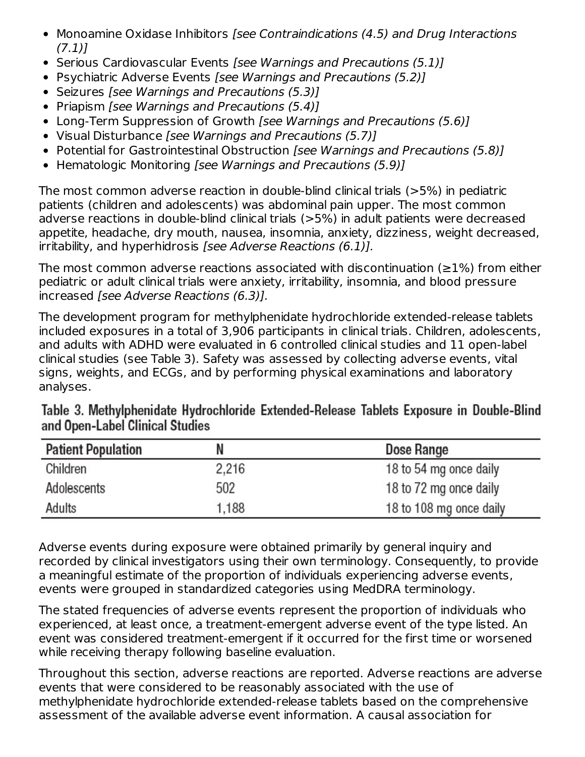- Monoamine Oxidase Inhibitors *[see Contraindications (4.5) and Drug Interactions*  $(7.1)$ ]
- Serious Cardiovascular Events [see Warnings and Precautions (5.1)]
- Psychiatric Adverse Events [see Warnings and Precautions (5.2)]
- Seizures [see Warnings and Precautions (5.3)]
- Priapism [see Warnings and Precautions (5.4)]
- Long-Term Suppression of Growth *[see Warnings and Precautions (5.6)]*
- Visual Disturbance [see Warnings and Precautions (5.7)]
- Potential for Gastrointestinal Obstruction [see Warnings and Precautions (5.8)]
- Hematologic Monitoring [see Warnings and Precautions (5.9)]

The most common adverse reaction in double-blind clinical trials (>5%) in pediatric patients (children and adolescents) was abdominal pain upper. The most common adverse reactions in double-blind clinical trials (>5%) in adult patients were decreased appetite, headache, dry mouth, nausea, insomnia, anxiety, dizziness, weight decreased, irritability, and hyperhidrosis [see Adverse Reactions (6.1)].

The most common adverse reactions associated with discontinuation ( $\geq$ 1%) from either pediatric or adult clinical trials were anxiety, irritability, insomnia, and blood pressure increased [see Adverse Reactions (6.3)].

The development program for methylphenidate hydrochloride extended-release tablets included exposures in a total of 3,906 participants in clinical trials. Children, adolescents, and adults with ADHD were evaluated in 6 controlled clinical studies and 11 open-label clinical studies (see Table 3). Safety was assessed by collecting adverse events, vital signs, weights, and ECGs, and by performing physical examinations and laboratory analyses.

| and Open-Laber Uninual Ottimes |       |                         |  |
|--------------------------------|-------|-------------------------|--|
| <b>Patient Population</b>      | N     | Dose Range              |  |
| Children                       | 2,216 | 18 to 54 mg once daily  |  |
| Adolescents                    | 502   | 18 to 72 mg once daily  |  |
| Adults                         | 1.188 | 18 to 108 mg once daily |  |

Table 3. Methylphenidate Hydrochloride Extended-Release Tablets Exposure in Double-Blind and Open-Label Clinical Studies

Adverse events during exposure were obtained primarily by general inquiry and recorded by clinical investigators using their own terminology. Consequently, to provide a meaningful estimate of the proportion of individuals experiencing adverse events, events were grouped in standardized categories using MedDRA terminology.

The stated frequencies of adverse events represent the proportion of individuals who experienced, at least once, a treatment-emergent adverse event of the type listed. An event was considered treatment-emergent if it occurred for the first time or worsened while receiving therapy following baseline evaluation.

Throughout this section, adverse reactions are reported. Adverse reactions are adverse events that were considered to be reasonably associated with the use of methylphenidate hydrochloride extended-release tablets based on the comprehensive assessment of the available adverse event information. A causal association for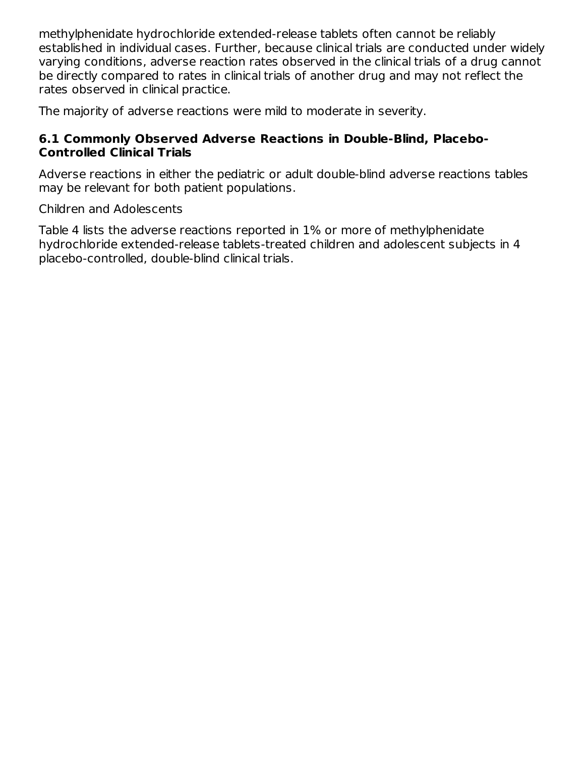methylphenidate hydrochloride extended-release tablets often cannot be reliably established in individual cases. Further, because clinical trials are conducted under widely varying conditions, adverse reaction rates observed in the clinical trials of a drug cannot be directly compared to rates in clinical trials of another drug and may not reflect the rates observed in clinical practice.

The majority of adverse reactions were mild to moderate in severity.

#### **6.1 Commonly Observed Adverse Reactions in Double-Blind, Placebo-Controlled Clinical Trials**

Adverse reactions in either the pediatric or adult double-blind adverse reactions tables may be relevant for both patient populations.

#### Children and Adolescents

Table 4 lists the adverse reactions reported in 1% or more of methylphenidate hydrochloride extended-release tablets-treated children and adolescent subjects in 4 placebo-controlled, double-blind clinical trials.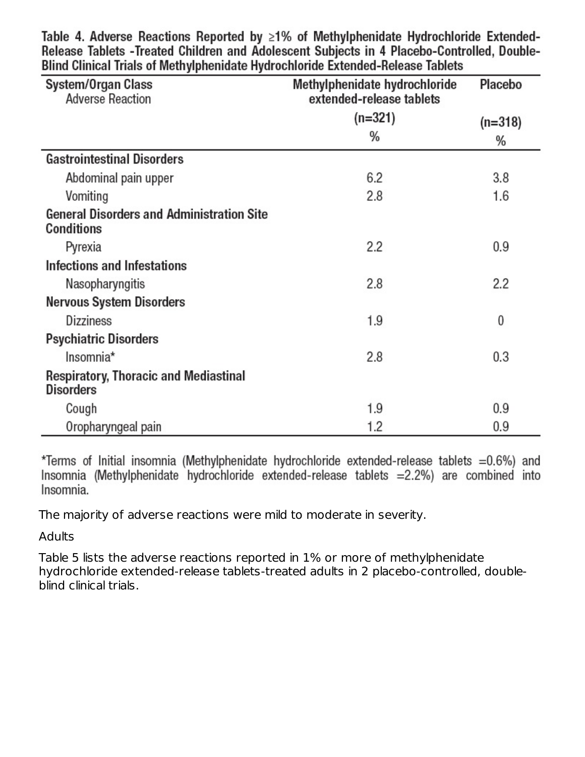| System/Organ Class<br><b>Adverse Reaction</b>                  | Methylphenidate hydrochloride<br>extended-release tablets | Placebo |
|----------------------------------------------------------------|-----------------------------------------------------------|---------|
|                                                                | $(n=321)$                                                 | (n=318) |
|                                                                | %                                                         | %       |
| <b>Gastrointestinal Disorders</b>                              |                                                           |         |
| Abdominal pain upper                                           | 6.2                                                       | 3.8     |
| Vomiting                                                       | 2.8                                                       | 1.6     |
| <b>General Disorders and Administration Site</b><br>Conditions |                                                           |         |
| Pyrexia                                                        | 2.2                                                       | 0.9     |
| Infections and Infestations                                    |                                                           |         |
| Nasopharyngitis                                                | 2.8                                                       | 2.2     |
| Nervous System Disorders                                       |                                                           |         |
| <b>Dizziness</b>                                               | 1.9                                                       | 0       |
| <b>Psychiatric Disorders</b>                                   |                                                           |         |
| Insomnia*                                                      | 2.8                                                       | 0.3     |
| Respiratory, Thoracic and Mediastinal<br><b>Disorders</b>      |                                                           |         |
| Cough                                                          | 1.9                                                       | 0.9     |
| Oropharyngeal pain                                             | 1.2                                                       | 0.9     |

Table 4. Adverse Reactions Reported by ≥1% of Methylphenidate Hydrochloride Extended-Release Tablets - Treated Children and Adolescent Subjects in 4 Placebo-Controlled, Double-**Blind Clinical Trials of Methylphenidate Hydrochloride Extended-Release Tablets** 

\*Terms of Initial insomnia (Methylphenidate hydrochloride extended-release tablets =0.6%) and Insomnia (Methylphenidate hydrochloride extended-release tablets = 2.2%) are combined into Insomnia.

The majority of adverse reactions were mild to moderate in severity.

**Adults** 

Table 5 lists the adverse reactions reported in 1% or more of methylphenidate hydrochloride extended-release tablets-treated adults in 2 placebo-controlled, doubleblind clinical trials.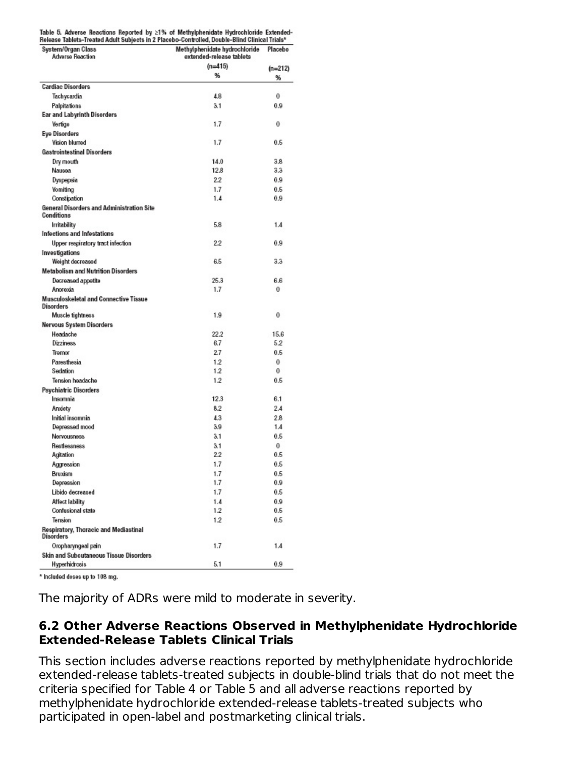Table 5. Adverse Reactions Reported by ≥1% of Methylphenidate Hydrochloride Extended-<br>Release Tablets-Treated Adult Subjects in 2 Placebo-Controlled, Double-Blind Clinical Trials\*

| System/Organ Class<br><b>Adverse Reaction</b>             | Methylphenidate hydrochloride<br>extended-release tablets | Placebo   |
|-----------------------------------------------------------|-----------------------------------------------------------|-----------|
|                                                           | $(n=415)$                                                 | $(n=212)$ |
|                                                           | %                                                         | %         |
| <b>Cardiac Disorders</b>                                  |                                                           |           |
| Tachycardia                                               | 4.8                                                       | 0         |
| Palpitations                                              | 3.1                                                       | $^{0.9}$  |
| Ear and Labyrinth Disorders                               |                                                           |           |
| Vertigo                                                   | 1.7                                                       | 0         |
| <b>Eye Disorders</b>                                      |                                                           |           |
| Vision blurred                                            | 1.7                                                       | 0.5       |
| <b>Gastrointestinal Disorders</b>                         |                                                           |           |
| Dry mouth                                                 | 14.0                                                      | 3.8       |
| <b>Nausea</b>                                             | 12.8                                                      | 3.3       |
| Dyspepsia                                                 | 22                                                        | $_{0.9}$  |
| Vomiting                                                  | 1.7                                                       | 0.5       |
| Constipation                                              | 1.4                                                       | $^{0.9}$  |
| General Disorders and Administration Site<br>Conditions   |                                                           |           |
| <b>Irritability</b>                                       | 5.8                                                       | 1.4       |
| Infections and Infestations                               |                                                           |           |
| Upper respiratory tract infection                         | 22                                                        | $^{0.9}$  |
| Investigations                                            |                                                           |           |
| Weight decreased                                          | 6.5                                                       | 3.3       |
| <b>Metabolism and Nutrition Disorders</b>                 |                                                           |           |
| Decreased appetite                                        | 25.3                                                      | 6.6       |
| Anoreoja                                                  | 1.7                                                       | 0         |
| Musculoskeletal and Connective Tissue<br><b>Disorders</b> |                                                           |           |
| Muscle tightness                                          | 1.9                                                       | 0         |
| Nervous System Disorders                                  |                                                           |           |
| Headache                                                  | 22.2                                                      | 15.6      |
| <b>Dizziness</b>                                          | 6.7                                                       | 5.2       |
| Tremor                                                    | 27                                                        | 0.5       |
| Paresthesia                                               | 1.2                                                       | 0         |
| Sedation                                                  | 1.2                                                       | 0         |
| Tension headache                                          | 1.2                                                       | 0.5       |
| <b>Psychiatric Disorders</b>                              |                                                           |           |
| Insomnia                                                  | 12.3                                                      | 6.1       |
| Anxiety                                                   | 8.2                                                       | 2.4       |
| Initial insomnia                                          | 43                                                        | 2.8       |
| Depressed mood                                            | 3.9                                                       | 1.4       |
| Nervousness                                               | 3.1                                                       | 0.5       |
| Restlessness                                              | 3.1                                                       | 0         |
| Agitation                                                 | 22                                                        | 0.5       |
| Aggression                                                | 1.7                                                       | 0.5       |
| Bruxism                                                   | 1.7                                                       | 0.5       |
| Depression                                                | 1.7                                                       | $_{0.9}$  |
| Libido decreased                                          | 1.7                                                       | 0.5       |
| Affect lability                                           | 1.4                                                       | 0.9       |
| Confusional state                                         | 1.2                                                       | 0.5       |
| Tension                                                   | 1.2                                                       | $_{0.5}$  |
| Respiratory, Thoracic and Mediastinal<br><b>Disorders</b> |                                                           |           |
| Oropharyngeal pain                                        | 1.7                                                       | 1.4       |
| Skin and Subcutaneous Tissue Disorders                    |                                                           |           |
| Hyperhidrosis                                             | 5.1                                                       | $_{0.9}$  |
|                                                           |                                                           |           |

\* Included doses up to 108 mg.

The majority of ADRs were mild to moderate in severity.

#### **6.2 Other Adverse Reactions Observed in Methylphenidate Hydrochloride Extended-Release Tablets Clinical Trials**

This section includes adverse reactions reported by methylphenidate hydrochloride extended-release tablets-treated subjects in double-blind trials that do not meet the criteria specified for Table 4 or Table 5 and all adverse reactions reported by methylphenidate hydrochloride extended-release tablets-treated subjects who participated in open-label and postmarketing clinical trials.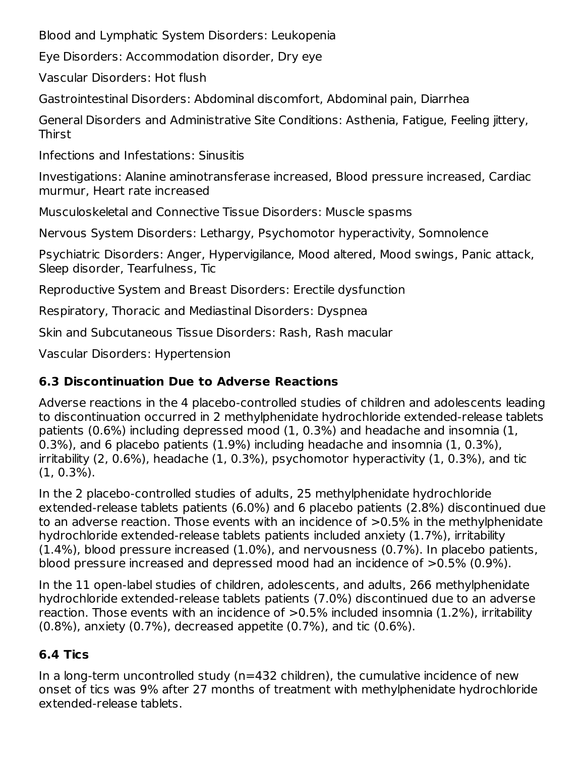Blood and Lymphatic System Disorders: Leukopenia

Eye Disorders: Accommodation disorder, Dry eye

Vascular Disorders: Hot flush

Gastrointestinal Disorders: Abdominal discomfort, Abdominal pain, Diarrhea

General Disorders and Administrative Site Conditions: Asthenia, Fatigue, Feeling jittery, Thirst

Infections and Infestations: Sinusitis

Investigations: Alanine aminotransferase increased, Blood pressure increased, Cardiac murmur, Heart rate increased

Musculoskeletal and Connective Tissue Disorders: Muscle spasms

Nervous System Disorders: Lethargy, Psychomotor hyperactivity, Somnolence

Psychiatric Disorders: Anger, Hypervigilance, Mood altered, Mood swings, Panic attack, Sleep disorder, Tearfulness, Tic

Reproductive System and Breast Disorders: Erectile dysfunction

Respiratory, Thoracic and Mediastinal Disorders: Dyspnea

Skin and Subcutaneous Tissue Disorders: Rash, Rash macular

Vascular Disorders: Hypertension

## **6.3 Discontinuation Due to Adverse Reactions**

Adverse reactions in the 4 placebo-controlled studies of children and adolescents leading to discontinuation occurred in 2 methylphenidate hydrochloride extended-release tablets patients (0.6%) including depressed mood (1, 0.3%) and headache and insomnia (1, 0.3%), and 6 placebo patients (1.9%) including headache and insomnia (1, 0.3%), irritability (2, 0.6%), headache (1, 0.3%), psychomotor hyperactivity (1, 0.3%), and tic (1, 0.3%).

In the 2 placebo-controlled studies of adults, 25 methylphenidate hydrochloride extended-release tablets patients (6.0%) and 6 placebo patients (2.8%) discontinued due to an adverse reaction. Those events with an incidence of  $>0.5\%$  in the methylphenidate hydrochloride extended-release tablets patients included anxiety (1.7%), irritability (1.4%), blood pressure increased (1.0%), and nervousness (0.7%). In placebo patients, blood pressure increased and depressed mood had an incidence of >0.5% (0.9%).

In the 11 open-label studies of children, adolescents, and adults, 266 methylphenidate hydrochloride extended-release tablets patients (7.0%) discontinued due to an adverse reaction. Those events with an incidence of >0.5% included insomnia (1.2%), irritability (0.8%), anxiety (0.7%), decreased appetite (0.7%), and tic (0.6%).

## **6.4 Tics**

In a long-term uncontrolled study (n=432 children), the cumulative incidence of new onset of tics was 9% after 27 months of treatment with methylphenidate hydrochloride extended-release tablets.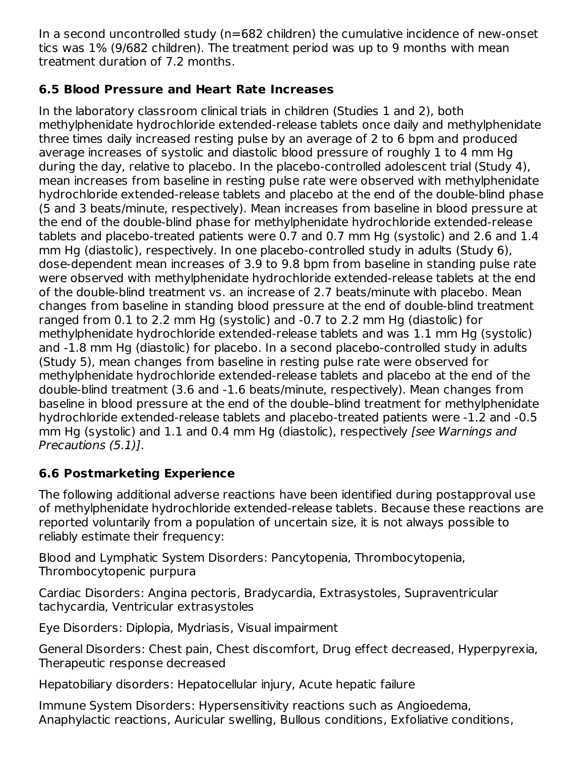In a second uncontrolled study (n=682 children) the cumulative incidence of new-onset tics was 1% (9/682 children). The treatment period was up to 9 months with mean treatment duration of 7.2 months.

### **6.5 Blood Pressure and Heart Rate Increases**

In the laboratory classroom clinical trials in children (Studies 1 and 2), both methylphenidate hydrochloride extended-release tablets once daily and methylphenidate three times daily increased resting pulse by an average of 2 to 6 bpm and produced average increases of systolic and diastolic blood pressure of roughly 1 to 4 mm Hg during the day, relative to placebo. In the placebo-controlled adolescent trial (Study 4), mean increases from baseline in resting pulse rate were observed with methylphenidate hydrochloride extended-release tablets and placebo at the end of the double-blind phase (5 and 3 beats/minute, respectively). Mean increases from baseline in blood pressure at the end of the double-blind phase for methylphenidate hydrochloride extended-release tablets and placebo-treated patients were 0.7 and 0.7 mm Hg (systolic) and 2.6 and 1.4 mm Hg (diastolic), respectively. In one placebo-controlled study in adults (Study 6), dose-dependent mean increases of 3.9 to 9.8 bpm from baseline in standing pulse rate were observed with methylphenidate hydrochloride extended-release tablets at the end of the double-blind treatment vs. an increase of 2.7 beats/minute with placebo. Mean changes from baseline in standing blood pressure at the end of double-blind treatment ranged from 0.1 to 2.2 mm Hg (systolic) and -0.7 to 2.2 mm Hg (diastolic) for methylphenidate hydrochloride extended-release tablets and was 1.1 mm Hg (systolic) and -1.8 mm Hg (diastolic) for placebo. In a second placebo-controlled study in adults (Study 5), mean changes from baseline in resting pulse rate were observed for methylphenidate hydrochloride extended-release tablets and placebo at the end of the double-blind treatment (3.6 and -1.6 beats/minute, respectively). Mean changes from baseline in blood pressure at the end of the double–blind treatment for methylphenidate hydrochloride extended-release tablets and placebo-treated patients were -1.2 and -0.5 mm Hg (systolic) and 1.1 and 0.4 mm Hg (diastolic), respectively [see Warnings and Precautions (5.1)].

## **6.6 Postmarketing Experience**

The following additional adverse reactions have been identified during postapproval use of methylphenidate hydrochloride extended-release tablets. Because these reactions are reported voluntarily from a population of uncertain size, it is not always possible to reliably estimate their frequency:

Blood and Lymphatic System Disorders: Pancytopenia, Thrombocytopenia, Thrombocytopenic purpura

Cardiac Disorders: Angina pectoris, Bradycardia, Extrasystoles, Supraventricular tachycardia, Ventricular extrasystoles

Eye Disorders: Diplopia, Mydriasis, Visual impairment

General Disorders: Chest pain, Chest discomfort, Drug effect decreased, Hyperpyrexia, Therapeutic response decreased

Hepatobiliary disorders: Hepatocellular injury, Acute hepatic failure

Immune System Disorders: Hypersensitivity reactions such as Angioedema, Anaphylactic reactions, Auricular swelling, Bullous conditions, Exfoliative conditions,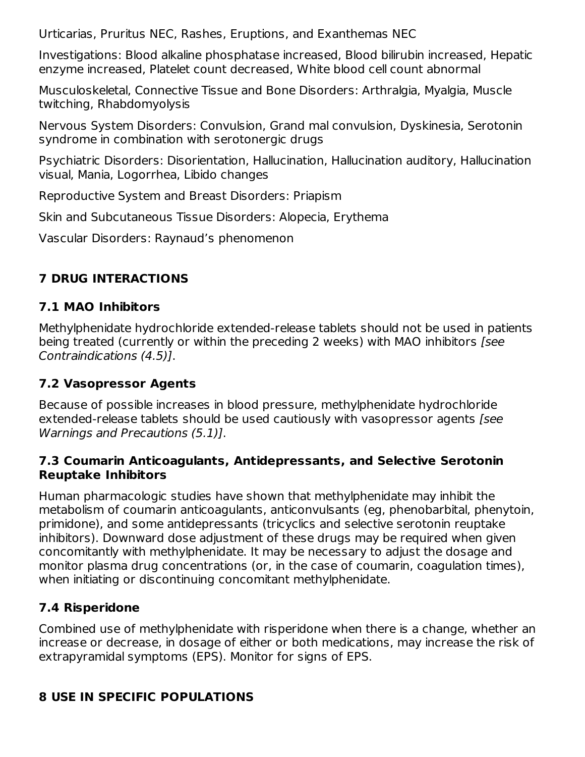Urticarias, Pruritus NEC, Rashes, Eruptions, and Exanthemas NEC

Investigations: Blood alkaline phosphatase increased, Blood bilirubin increased, Hepatic enzyme increased, Platelet count decreased, White blood cell count abnormal

Musculoskeletal, Connective Tissue and Bone Disorders: Arthralgia, Myalgia, Muscle twitching, Rhabdomyolysis

Nervous System Disorders: Convulsion, Grand mal convulsion, Dyskinesia, Serotonin syndrome in combination with serotonergic drugs

Psychiatric Disorders: Disorientation, Hallucination, Hallucination auditory, Hallucination visual, Mania, Logorrhea, Libido changes

Reproductive System and Breast Disorders: Priapism

Skin and Subcutaneous Tissue Disorders: Alopecia, Erythema

Vascular Disorders: Raynaud's phenomenon

## **7 DRUG INTERACTIONS**

### **7.1 MAO Inhibitors**

Methylphenidate hydrochloride extended-release tablets should not be used in patients being treated (currently or within the preceding 2 weeks) with MAO inhibitors [see Contraindications (4.5)].

### **7.2 Vasopressor Agents**

Because of possible increases in blood pressure, methylphenidate hydrochloride extended-release tablets should be used cautiously with vasopressor agents [see Warnings and Precautions (5.1)].

#### **7.3 Coumarin Anticoagulants, Antidepressants, and Selective Serotonin Reuptake Inhibitors**

Human pharmacologic studies have shown that methylphenidate may inhibit the metabolism of coumarin anticoagulants, anticonvulsants (eg, phenobarbital, phenytoin, primidone), and some antidepressants (tricyclics and selective serotonin reuptake inhibitors). Downward dose adjustment of these drugs may be required when given concomitantly with methylphenidate. It may be necessary to adjust the dosage and monitor plasma drug concentrations (or, in the case of coumarin, coagulation times), when initiating or discontinuing concomitant methylphenidate.

## **7.4 Risperidone**

Combined use of methylphenidate with risperidone when there is a change, whether an increase or decrease, in dosage of either or both medications, may increase the risk of extrapyramidal symptoms (EPS). Monitor for signs of EPS.

## **8 USE IN SPECIFIC POPULATIONS**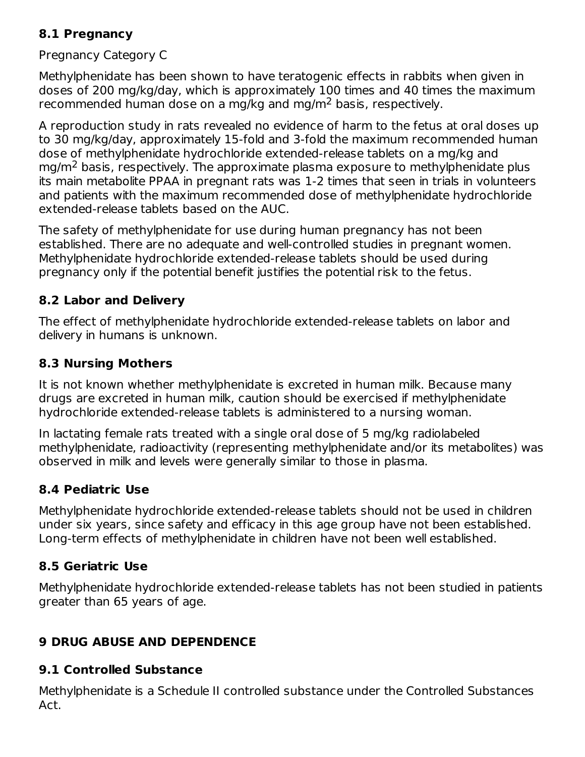### **8.1 Pregnancy**

Pregnancy Category C

Methylphenidate has been shown to have teratogenic effects in rabbits when given in doses of 200 mg/kg/day, which is approximately 100 times and 40 times the maximum recommended human dose on a mg/kg and mg/m<sup>2</sup> basis, respectively.

A reproduction study in rats revealed no evidence of harm to the fetus at oral doses up to 30 mg/kg/day, approximately 15-fold and 3-fold the maximum recommended human dose of methylphenidate hydrochloride extended-release tablets on a mg/kg and mg/m<sup>2</sup> basis, respectively. The approximate plasma exposure to methylphenidate plus its main metabolite PPAA in pregnant rats was 1-2 times that seen in trials in volunteers and patients with the maximum recommended dose of methylphenidate hydrochloride extended-release tablets based on the AUC.

The safety of methylphenidate for use during human pregnancy has not been established. There are no adequate and well-controlled studies in pregnant women. Methylphenidate hydrochloride extended-release tablets should be used during pregnancy only if the potential benefit justifies the potential risk to the fetus.

### **8.2 Labor and Delivery**

The effect of methylphenidate hydrochloride extended-release tablets on labor and delivery in humans is unknown.

## **8.3 Nursing Mothers**

It is not known whether methylphenidate is excreted in human milk. Because many drugs are excreted in human milk, caution should be exercised if methylphenidate hydrochloride extended-release tablets is administered to a nursing woman.

In lactating female rats treated with a single oral dose of 5 mg/kg radiolabeled methylphenidate, radioactivity (representing methylphenidate and/or its metabolites) was observed in milk and levels were generally similar to those in plasma.

### **8.4 Pediatric Use**

Methylphenidate hydrochloride extended-release tablets should not be used in children under six years, since safety and efficacy in this age group have not been established. Long-term effects of methylphenidate in children have not been well established.

## **8.5 Geriatric Use**

Methylphenidate hydrochloride extended-release tablets has not been studied in patients greater than 65 years of age.

## **9 DRUG ABUSE AND DEPENDENCE**

## **9.1 Controlled Substance**

Methylphenidate is a Schedule II controlled substance under the Controlled Substances Act.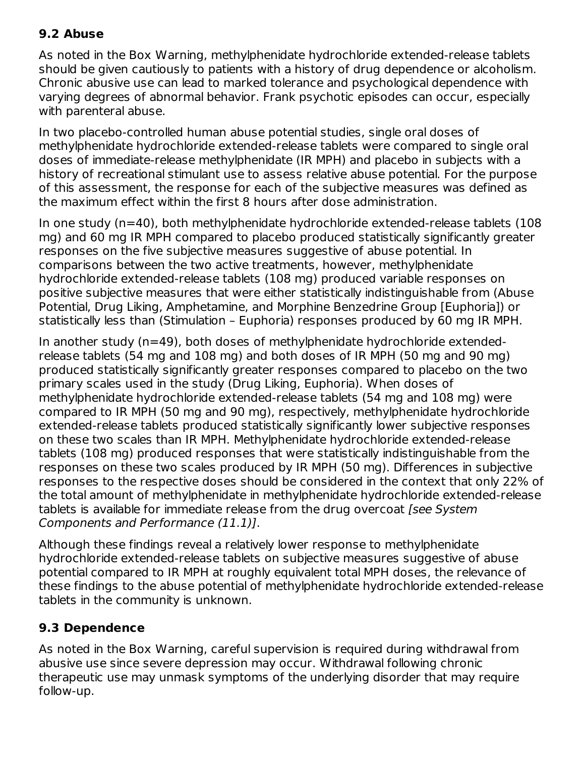### **9.2 Abuse**

As noted in the Box Warning, methylphenidate hydrochloride extended-release tablets should be given cautiously to patients with a history of drug dependence or alcoholism. Chronic abusive use can lead to marked tolerance and psychological dependence with varying degrees of abnormal behavior. Frank psychotic episodes can occur, especially with parenteral abuse.

In two placebo-controlled human abuse potential studies, single oral doses of methylphenidate hydrochloride extended-release tablets were compared to single oral doses of immediate-release methylphenidate (IR MPH) and placebo in subjects with a history of recreational stimulant use to assess relative abuse potential. For the purpose of this assessment, the response for each of the subjective measures was defined as the maximum effect within the first 8 hours after dose administration.

In one study (n=40), both methylphenidate hydrochloride extended-release tablets (108 mg) and 60 mg IR MPH compared to placebo produced statistically significantly greater responses on the five subjective measures suggestive of abuse potential. In comparisons between the two active treatments, however, methylphenidate hydrochloride extended-release tablets (108 mg) produced variable responses on positive subjective measures that were either statistically indistinguishable from (Abuse Potential, Drug Liking, Amphetamine, and Morphine Benzedrine Group [Euphoria]) or statistically less than (Stimulation – Euphoria) responses produced by 60 mg IR MPH.

In another study (n=49), both doses of methylphenidate hydrochloride extendedrelease tablets (54 mg and 108 mg) and both doses of IR MPH (50 mg and 90 mg) produced statistically significantly greater responses compared to placebo on the two primary scales used in the study (Drug Liking, Euphoria). When doses of methylphenidate hydrochloride extended-release tablets (54 mg and 108 mg) were compared to IR MPH (50 mg and 90 mg), respectively, methylphenidate hydrochloride extended-release tablets produced statistically significantly lower subjective responses on these two scales than IR MPH. Methylphenidate hydrochloride extended-release tablets (108 mg) produced responses that were statistically indistinguishable from the responses on these two scales produced by IR MPH (50 mg). Differences in subjective responses to the respective doses should be considered in the context that only 22% of the total amount of methylphenidate in methylphenidate hydrochloride extended-release tablets is available for immediate release from the drug overcoat (see System Components and Performance (11.1)].

Although these findings reveal a relatively lower response to methylphenidate hydrochloride extended-release tablets on subjective measures suggestive of abuse potential compared to IR MPH at roughly equivalent total MPH doses, the relevance of these findings to the abuse potential of methylphenidate hydrochloride extended-release tablets in the community is unknown.

## **9.3 Dependence**

As noted in the Box Warning, careful supervision is required during withdrawal from abusive use since severe depression may occur. Withdrawal following chronic therapeutic use may unmask symptoms of the underlying disorder that may require follow-up.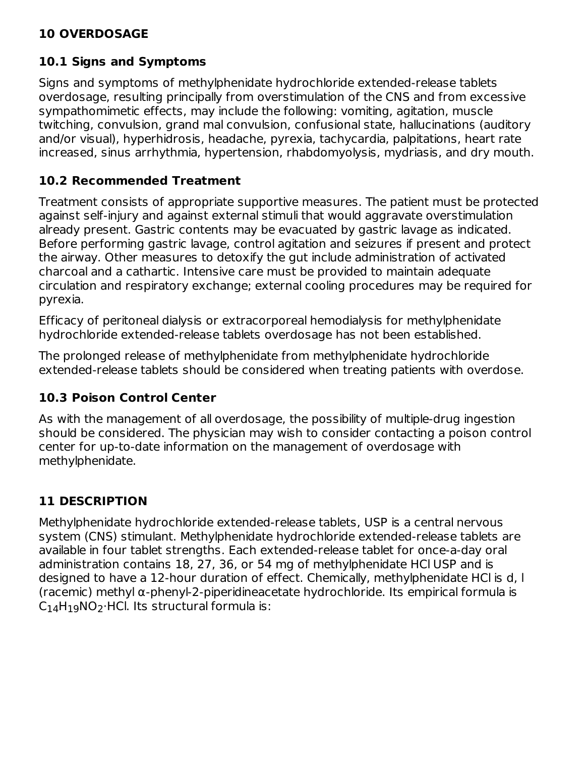### **10 OVERDOSAGE**

### **10.1 Signs and Symptoms**

Signs and symptoms of methylphenidate hydrochloride extended-release tablets overdosage, resulting principally from overstimulation of the CNS and from excessive sympathomimetic effects, may include the following: vomiting, agitation, muscle twitching, convulsion, grand mal convulsion, confusional state, hallucinations (auditory and/or visual), hyperhidrosis, headache, pyrexia, tachycardia, palpitations, heart rate increased, sinus arrhythmia, hypertension, rhabdomyolysis, mydriasis, and dry mouth.

### **10.2 Recommended Treatment**

Treatment consists of appropriate supportive measures. The patient must be protected against self-injury and against external stimuli that would aggravate overstimulation already present. Gastric contents may be evacuated by gastric lavage as indicated. Before performing gastric lavage, control agitation and seizures if present and protect the airway. Other measures to detoxify the gut include administration of activated charcoal and a cathartic. Intensive care must be provided to maintain adequate circulation and respiratory exchange; external cooling procedures may be required for pyrexia.

Efficacy of peritoneal dialysis or extracorporeal hemodialysis for methylphenidate hydrochloride extended-release tablets overdosage has not been established.

The prolonged release of methylphenidate from methylphenidate hydrochloride extended-release tablets should be considered when treating patients with overdose.

### **10.3 Poison Control Center**

As with the management of all overdosage, the possibility of multiple-drug ingestion should be considered. The physician may wish to consider contacting a poison control center for up-to-date information on the management of overdosage with methylphenidate.

### **11 DESCRIPTION**

Methylphenidate hydrochloride extended-release tablets, USP is a central nervous system (CNS) stimulant. Methylphenidate hydrochloride extended-release tablets are available in four tablet strengths. Each extended-release tablet for once-a-day oral administration contains 18, 27, 36, or 54 mg of methylphenidate HCl USP and is designed to have a 12-hour duration of effect. Chemically, methylphenidate HCl is d, l (racemic) methyl α-phenyl-2-piperidineacetate hydrochloride. Its empirical formula is  $C<sub>14</sub>H<sub>19</sub>NO<sub>2</sub>·HCl.$  Its structural formula is: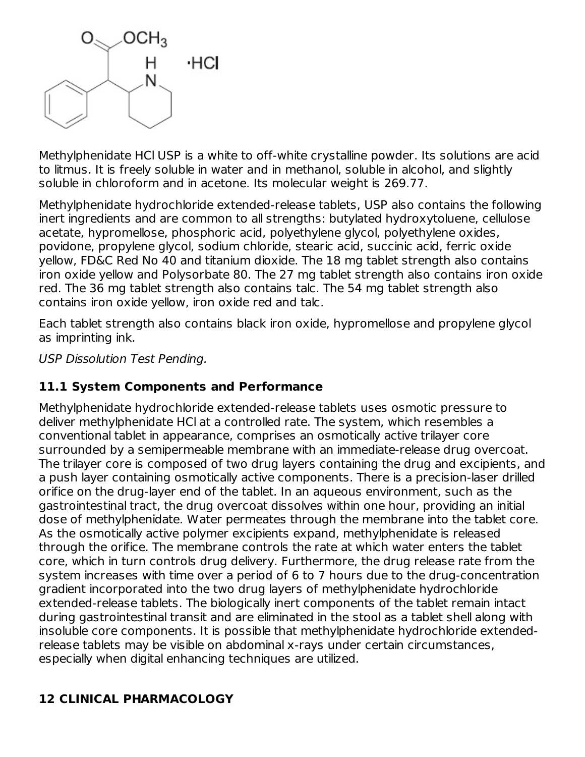

Methylphenidate HCl USP is a white to off-white crystalline powder. Its solutions are acid to litmus. It is freely soluble in water and in methanol, soluble in alcohol, and slightly soluble in chloroform and in acetone. Its molecular weight is 269.77.

Methylphenidate hydrochloride extended-release tablets, USP also contains the following inert ingredients and are common to all strengths: butylated hydroxytoluene, cellulose acetate, hypromellose, phosphoric acid, polyethylene glycol, polyethylene oxides, povidone, propylene glycol, sodium chloride, stearic acid, succinic acid, ferric oxide yellow, FD&C Red No 40 and titanium dioxide. The 18 mg tablet strength also contains iron oxide yellow and Polysorbate 80. The 27 mg tablet strength also contains iron oxide red. The 36 mg tablet strength also contains talc. The 54 mg tablet strength also contains iron oxide yellow, iron oxide red and talc.

Each tablet strength also contains black iron oxide, hypromellose and propylene glycol as imprinting ink.

USP Dissolution Test Pending.

### **11.1 System Components and Performance**

Methylphenidate hydrochloride extended-release tablets uses osmotic pressure to deliver methylphenidate HCl at a controlled rate. The system, which resembles a conventional tablet in appearance, comprises an osmotically active trilayer core surrounded by a semipermeable membrane with an immediate-release drug overcoat. The trilayer core is composed of two drug layers containing the drug and excipients, and a push layer containing osmotically active components. There is a precision-laser drilled orifice on the drug-layer end of the tablet. In an aqueous environment, such as the gastrointestinal tract, the drug overcoat dissolves within one hour, providing an initial dose of methylphenidate. Water permeates through the membrane into the tablet core. As the osmotically active polymer excipients expand, methylphenidate is released through the orifice. The membrane controls the rate at which water enters the tablet core, which in turn controls drug delivery. Furthermore, the drug release rate from the system increases with time over a period of 6 to 7 hours due to the drug-concentration gradient incorporated into the two drug layers of methylphenidate hydrochloride extended-release tablets. The biologically inert components of the tablet remain intact during gastrointestinal transit and are eliminated in the stool as a tablet shell along with insoluble core components. It is possible that methylphenidate hydrochloride extendedrelease tablets may be visible on abdominal x-rays under certain circumstances, especially when digital enhancing techniques are utilized.

### **12 CLINICAL PHARMACOLOGY**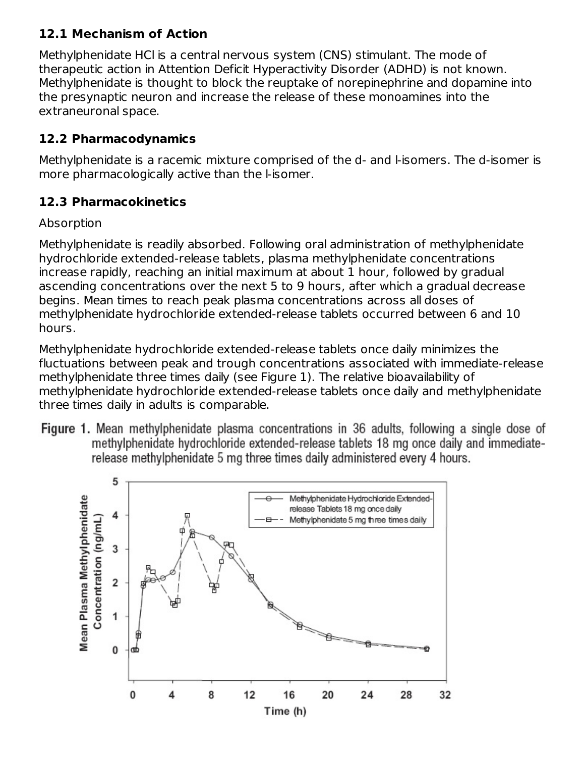### **12.1 Mechanism of Action**

Methylphenidate HCl is a central nervous system (CNS) stimulant. The mode of therapeutic action in Attention Deficit Hyperactivity Disorder (ADHD) is not known. Methylphenidate is thought to block the reuptake of norepinephrine and dopamine into the presynaptic neuron and increase the release of these monoamines into the extraneuronal space.

### **12.2 Pharmacodynamics**

Methylphenidate is a racemic mixture comprised of the d- and l-isomers. The d-isomer is more pharmacologically active than the l-isomer.

## **12.3 Pharmacokinetics**

### Absorption

Methylphenidate is readily absorbed. Following oral administration of methylphenidate hydrochloride extended-release tablets, plasma methylphenidate concentrations increase rapidly, reaching an initial maximum at about 1 hour, followed by gradual ascending concentrations over the next 5 to 9 hours, after which a gradual decrease begins. Mean times to reach peak plasma concentrations across all doses of methylphenidate hydrochloride extended-release tablets occurred between 6 and 10 hours.

Methylphenidate hydrochloride extended-release tablets once daily minimizes the fluctuations between peak and trough concentrations associated with immediate-release methylphenidate three times daily (see Figure 1). The relative bioavailability of methylphenidate hydrochloride extended-release tablets once daily and methylphenidate three times daily in adults is comparable.

Figure 1. Mean methylphenidate plasma concentrations in 36 adults, following a single dose of methylphenidate hydrochloride extended-release tablets 18 mg once daily and immediaterelease methylphenidate 5 mg three times daily administered every 4 hours.

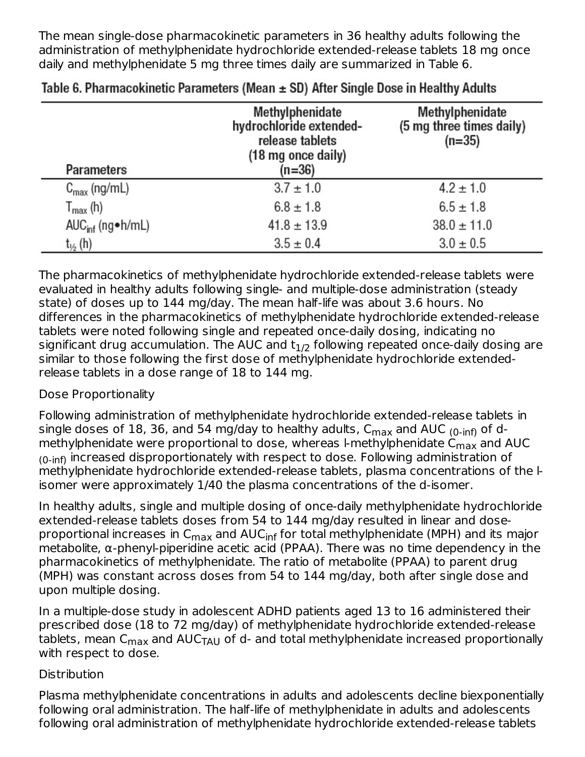The mean single-dose pharmacokinetic parameters in 36 healthy adults following the administration of methylphenidate hydrochloride extended-release tablets 18 mg once daily and methylphenidate 5 mg three times daily are summarized in Table 6.

| <b>Parameters</b>                      | Methylphenidate<br>hydrochloride extended-<br>release tablets<br>(18 mg once daily)<br>$(n=36)$ | Methylphenidate<br>(5 mg three times daily)<br>$(n=35)$ |
|----------------------------------------|-------------------------------------------------------------------------------------------------|---------------------------------------------------------|
| $C_{\text{max}}$ (ng/mL)               | $3.7 \pm 1.0$                                                                                   | $4.2 \pm 1.0$                                           |
| $T_{\text{max}}$ (h)                   | $6.8 \pm 1.8$                                                                                   | $6.5 \pm 1.8$                                           |
| AUC <sub>inf</sub> (ng $\bullet$ h/mL) | $41.8 \pm 13.9$                                                                                 | $38.0 \pm 11.0$                                         |
| $t_{1/2}$ (h)                          | $3.5 \pm 0.4$                                                                                   | $3.0 \pm 0.5$                                           |

Table 6. Pharmacokinetic Parameters (Mean  $\pm$  SD) After Single Dose in Healthy Adults

The pharmacokinetics of methylphenidate hydrochloride extended-release tablets were evaluated in healthy adults following single- and multiple-dose administration (steady state) of doses up to 144 mg/day. The mean half-life was about 3.6 hours. No differences in the pharmacokinetics of methylphenidate hydrochloride extended-release tablets were noted following single and repeated once-daily dosing, indicating no significant drug accumulation. The AUC and  $\rm t_{1/2}$  following repeated once-daily dosing are similar to those following the first dose of methylphenidate hydrochloride extendedrelease tablets in a dose range of 18 to 144 mg.

### Dose Proportionality

Following administration of methylphenidate hydrochloride extended-release tablets in single doses of 18, 36, and 54 mg/day to healthy adults, C<sub>max</sub> and AUC <sub>(0-inf)</sub> of dmethylphenidate were proportional to dose, whereas l-methylphenidate C<sub>max</sub> and AUC  $_{\rm (O-inf)}$  increased disproportionately with respect to dose. Following administration of methylphenidate hydrochloride extended-release tablets, plasma concentrations of the lisomer were approximately 1/40 the plasma concentrations of the d-isomer.

In healthy adults, single and multiple dosing of once-daily methylphenidate hydrochloride extended-release tablets doses from 54 to 144 mg/day resulted in linear and doseproportional increases in C<sub>max</sub> and AUC<sub>inf</sub> for total methylphenidate (MPH) and its major metabolite, α-phenyl-piperidine acetic acid (PPAA). There was no time dependency in the pharmacokinetics of methylphenidate. The ratio of metabolite (PPAA) to parent drug (MPH) was constant across doses from 54 to 144 mg/day, both after single dose and upon multiple dosing.

In a multiple-dose study in adolescent ADHD patients aged 13 to 16 administered their prescribed dose (18 to 72 mg/day) of methylphenidate hydrochloride extended-release tablets, mean C<sub>max</sub> and AUC<sub>TAU</sub> of d- and total methylphenidate increased proportionally with respect to dose.

#### **Distribution**

Plasma methylphenidate concentrations in adults and adolescents decline biexponentially following oral administration. The half-life of methylphenidate in adults and adolescents following oral administration of methylphenidate hydrochloride extended-release tablets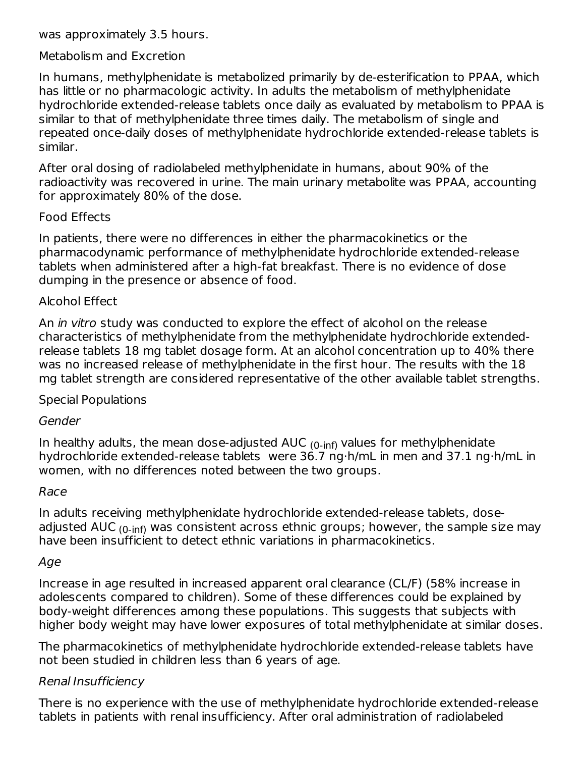was approximately 3.5 hours.

#### Metabolism and Excretion

In humans, methylphenidate is metabolized primarily by de-esterification to PPAA, which has little or no pharmacologic activity. In adults the metabolism of methylphenidate hydrochloride extended-release tablets once daily as evaluated by metabolism to PPAA is similar to that of methylphenidate three times daily. The metabolism of single and repeated once-daily doses of methylphenidate hydrochloride extended-release tablets is similar.

After oral dosing of radiolabeled methylphenidate in humans, about 90% of the radioactivity was recovered in urine. The main urinary metabolite was PPAA, accounting for approximately 80% of the dose.

#### Food Effects

In patients, there were no differences in either the pharmacokinetics or the pharmacodynamic performance of methylphenidate hydrochloride extended-release tablets when administered after a high-fat breakfast. There is no evidence of dose dumping in the presence or absence of food.

#### Alcohol Effect

An *in vitro* study was conducted to explore the effect of alcohol on the release characteristics of methylphenidate from the methylphenidate hydrochloride extendedrelease tablets 18 mg tablet dosage form. At an alcohol concentration up to 40% there was no increased release of methylphenidate in the first hour. The results with the 18 mg tablet strength are considered representative of the other available tablet strengths.

Special Populations

#### Gender

In healthy adults, the mean dose-adjusted AUC <sub>(0-inf)</sub> values for methylphenidate hydrochloride extended-release tablets were 36.7 ng·h/mL in men and 37.1 ng·h/mL in women, with no differences noted between the two groups.

#### Race

In adults receiving methylphenidate hydrochloride extended-release tablets, doseadjusted AUC <sub>(0-inf)</sub> was consistent across ethnic groups; however, the sample size may have been insufficient to detect ethnic variations in pharmacokinetics.

#### Age

Increase in age resulted in increased apparent oral clearance (CL/F) (58% increase in adolescents compared to children). Some of these differences could be explained by body-weight differences among these populations. This suggests that subjects with higher body weight may have lower exposures of total methylphenidate at similar doses.

The pharmacokinetics of methylphenidate hydrochloride extended-release tablets have not been studied in children less than 6 years of age.

### Renal Insufficiency

There is no experience with the use of methylphenidate hydrochloride extended-release tablets in patients with renal insufficiency. After oral administration of radiolabeled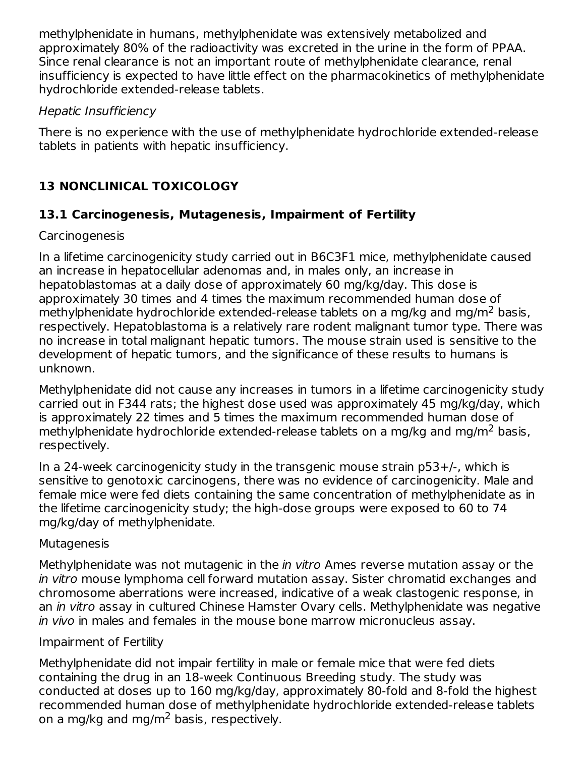methylphenidate in humans, methylphenidate was extensively metabolized and approximately 80% of the radioactivity was excreted in the urine in the form of PPAA. Since renal clearance is not an important route of methylphenidate clearance, renal insufficiency is expected to have little effect on the pharmacokinetics of methylphenidate hydrochloride extended-release tablets.

#### Hepatic Insufficiency

There is no experience with the use of methylphenidate hydrochloride extended-release tablets in patients with hepatic insufficiency.

## **13 NONCLINICAL TOXICOLOGY**

## **13.1 Carcinogenesis, Mutagenesis, Impairment of Fertility**

### Carcinogenesis

In a lifetime carcinogenicity study carried out in B6C3F1 mice, methylphenidate caused an increase in hepatocellular adenomas and, in males only, an increase in hepatoblastomas at a daily dose of approximately 60 mg/kg/day. This dose is approximately 30 times and 4 times the maximum recommended human dose of methylphenidate hydrochloride extended-release tablets on a mg/kg and mg/m<sup>2</sup> basis, respectively. Hepatoblastoma is a relatively rare rodent malignant tumor type. There was no increase in total malignant hepatic tumors. The mouse strain used is sensitive to the development of hepatic tumors, and the significance of these results to humans is unknown.

Methylphenidate did not cause any increases in tumors in a lifetime carcinogenicity study carried out in F344 rats; the highest dose used was approximately 45 mg/kg/day, which is approximately 22 times and 5 times the maximum recommended human dose of methylphenidate hydrochloride extended-release tablets on a mg/kg and mg/m<sup>2</sup> basis, respectively.

In a 24-week carcinogenicity study in the transgenic mouse strain p53+/-, which is sensitive to genotoxic carcinogens, there was no evidence of carcinogenicity. Male and female mice were fed diets containing the same concentration of methylphenidate as in the lifetime carcinogenicity study; the high-dose groups were exposed to 60 to 74 mg/kg/day of methylphenidate.

### **Mutagenesis**

Methylphenidate was not mutagenic in the in vitro Ames reverse mutation assay or the in vitro mouse lymphoma cell forward mutation assay. Sister chromatid exchanges and chromosome aberrations were increased, indicative of a weak clastogenic response, in an in vitro assay in cultured Chinese Hamster Ovary cells. Methylphenidate was negative in vivo in males and females in the mouse bone marrow micronucleus assay.

## Impairment of Fertility

Methylphenidate did not impair fertility in male or female mice that were fed diets containing the drug in an 18-week Continuous Breeding study. The study was conducted at doses up to 160 mg/kg/day, approximately 80-fold and 8-fold the highest recommended human dose of methylphenidate hydrochloride extended-release tablets on a mg/kg and mg/m $^2$  basis, respectively.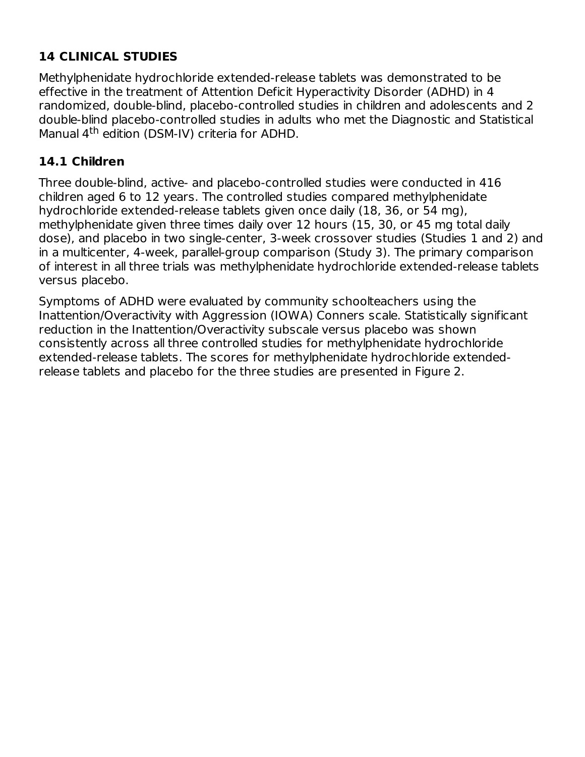## **14 CLINICAL STUDIES**

Methylphenidate hydrochloride extended-release tablets was demonstrated to be effective in the treatment of Attention Deficit Hyperactivity Disorder (ADHD) in 4 randomized, double-blind, placebo-controlled studies in children and adolescents and 2 double-blind placebo-controlled studies in adults who met the Diagnostic and Statistical Manual 4<sup>th</sup> edition (DSM-IV) criteria for ADHD.

### **14.1 Children**

Three double-blind, active- and placebo-controlled studies were conducted in 416 children aged 6 to 12 years. The controlled studies compared methylphenidate hydrochloride extended-release tablets given once daily (18, 36, or 54 mg), methylphenidate given three times daily over 12 hours (15, 30, or 45 mg total daily dose), and placebo in two single-center, 3-week crossover studies (Studies 1 and 2) and in a multicenter, 4-week, parallel-group comparison (Study 3). The primary comparison of interest in all three trials was methylphenidate hydrochloride extended-release tablets versus placebo.

Symptoms of ADHD were evaluated by community schoolteachers using the Inattention/Overactivity with Aggression (IOWA) Conners scale. Statistically significant reduction in the Inattention/Overactivity subscale versus placebo was shown consistently across all three controlled studies for methylphenidate hydrochloride extended-release tablets. The scores for methylphenidate hydrochloride extendedrelease tablets and placebo for the three studies are presented in Figure 2.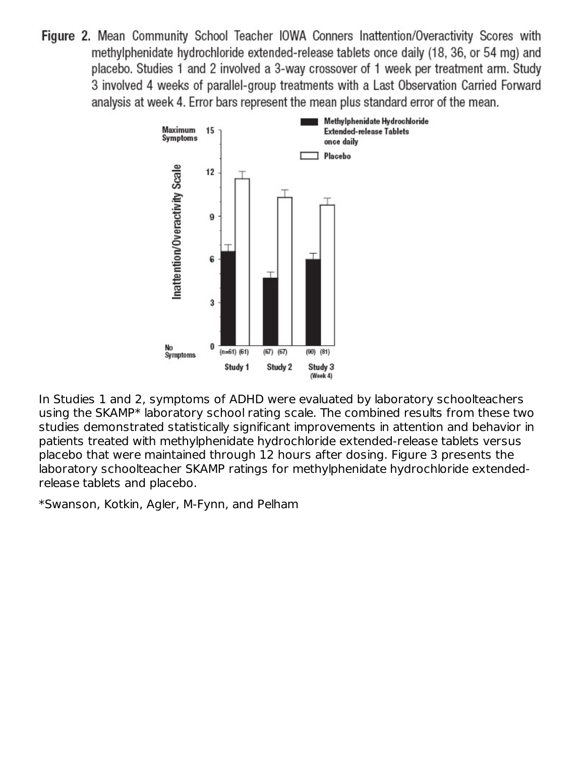**Figure 2.** Mean Community School Teacher IOWA Conners Inattention/Overactivity Scores with methylphenidate hydrochloride extended-release tablets once daily (18, 36, or 54 mg) and placebo. Studies 1 and 2 involved a 3-way crossover of 1 week per treatment arm. Study 3 involved 4 weeks of parallel-group treatments with a Last Observation Carried Forward analysis at week 4. Error bars represent the mean plus standard error of the mean.



In Studies 1 and 2, symptoms of ADHD were evaluated by laboratory schoolteachers using the SKAMP\* laboratory school rating scale. The combined results from these two studies demonstrated statistically significant improvements in attention and behavior in patients treated with methylphenidate hydrochloride extended-release tablets versus placebo that were maintained through 12 hours after dosing. Figure 3 presents the laboratory schoolteacher SKAMP ratings for methylphenidate hydrochloride extendedrelease tablets and placebo.

\*Swanson, Kotkin, Agler, M-Fynn, and Pelham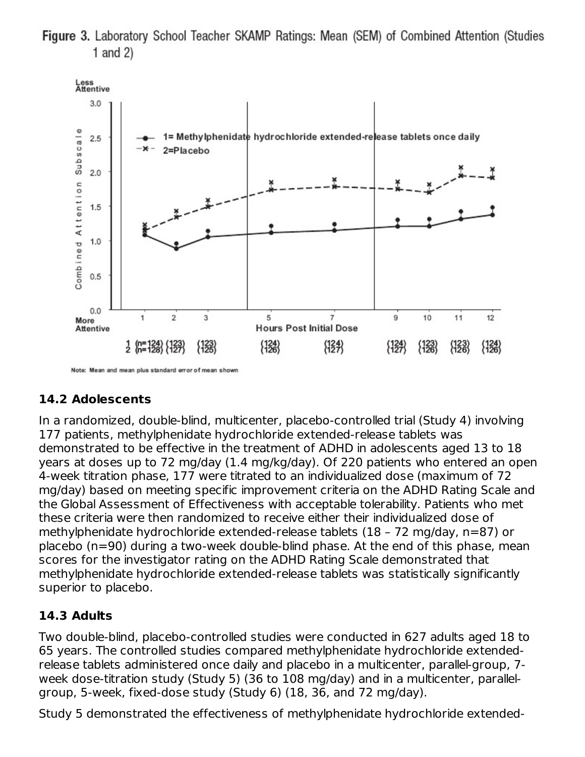



Note: Mean and mean plus standard error of mean shown

### **14.2 Adolescents**

In a randomized, double-blind, multicenter, placebo-controlled trial (Study 4) involving 177 patients, methylphenidate hydrochloride extended-release tablets was demonstrated to be effective in the treatment of ADHD in adolescents aged 13 to 18 years at doses up to 72 mg/day (1.4 mg/kg/day). Of 220 patients who entered an open 4-week titration phase, 177 were titrated to an individualized dose (maximum of 72 mg/day) based on meeting specific improvement criteria on the ADHD Rating Scale and the Global Assessment of Effectiveness with acceptable tolerability. Patients who met these criteria were then randomized to receive either their individualized dose of methylphenidate hydrochloride extended-release tablets (18 – 72 mg/day, n=87) or placebo (n=90) during a two-week double-blind phase. At the end of this phase, mean scores for the investigator rating on the ADHD Rating Scale demonstrated that methylphenidate hydrochloride extended-release tablets was statistically significantly superior to placebo.

## **14.3 Adults**

Two double-blind, placebo-controlled studies were conducted in 627 adults aged 18 to 65 years. The controlled studies compared methylphenidate hydrochloride extendedrelease tablets administered once daily and placebo in a multicenter, parallel-group, 7 week dose-titration study (Study 5) (36 to 108 mg/day) and in a multicenter, parallelgroup, 5-week, fixed-dose study (Study 6) (18, 36, and 72 mg/day).

Study 5 demonstrated the effectiveness of methylphenidate hydrochloride extended-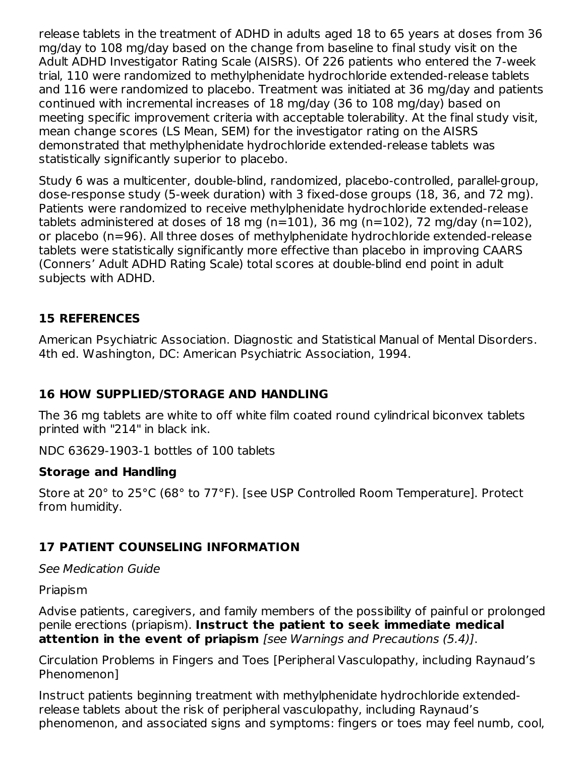release tablets in the treatment of ADHD in adults aged 18 to 65 years at doses from 36 mg/day to 108 mg/day based on the change from baseline to final study visit on the Adult ADHD Investigator Rating Scale (AISRS). Of 226 patients who entered the 7-week trial, 110 were randomized to methylphenidate hydrochloride extended-release tablets and 116 were randomized to placebo. Treatment was initiated at 36 mg/day and patients continued with incremental increases of 18 mg/day (36 to 108 mg/day) based on meeting specific improvement criteria with acceptable tolerability. At the final study visit, mean change scores (LS Mean, SEM) for the investigator rating on the AISRS demonstrated that methylphenidate hydrochloride extended-release tablets was statistically significantly superior to placebo.

Study 6 was a multicenter, double-blind, randomized, placebo-controlled, parallel-group, dose-response study (5-week duration) with 3 fixed-dose groups (18, 36, and 72 mg). Patients were randomized to receive methylphenidate hydrochloride extended-release tablets administered at doses of 18 mg (n=101), 36 mg (n=102), 72 mg/day (n=102), or placebo (n=96). All three doses of methylphenidate hydrochloride extended-release tablets were statistically significantly more effective than placebo in improving CAARS (Conners' Adult ADHD Rating Scale) total scores at double-blind end point in adult subjects with ADHD.

### **15 REFERENCES**

American Psychiatric Association. Diagnostic and Statistical Manual of Mental Disorders. 4th ed. Washington, DC: American Psychiatric Association, 1994.

#### **16 HOW SUPPLIED/STORAGE AND HANDLING**

The 36 mg tablets are white to off white film coated round cylindrical biconvex tablets printed with "214" in black ink.

NDC 63629-1903-1 bottles of 100 tablets

#### **Storage and Handling**

Store at 20° to 25°C (68° to 77°F). [see USP Controlled Room Temperature]. Protect from humidity.

### **17 PATIENT COUNSELING INFORMATION**

#### See Medication Guide

Priapism

Advise patients, caregivers, and family members of the possibility of painful or prolonged penile erections (priapism). **Instruct the patient to seek immediate medical attention in the event of priapism** [see Warnings and Precautions (5.4)].

Circulation Problems in Fingers and Toes [Peripheral Vasculopathy, including Raynaud's Phenomenon]

Instruct patients beginning treatment with methylphenidate hydrochloride extendedrelease tablets about the risk of peripheral vasculopathy, including Raynaud's phenomenon, and associated signs and symptoms: fingers or toes may feel numb, cool,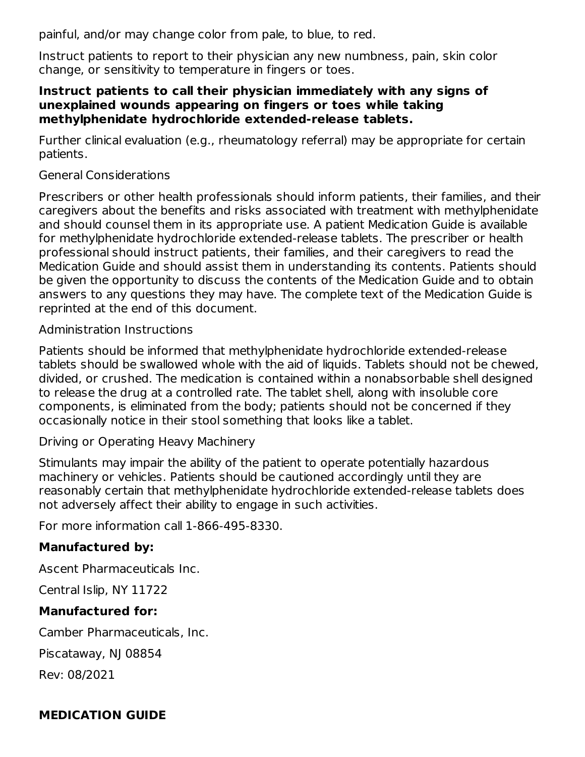painful, and/or may change color from pale, to blue, to red.

Instruct patients to report to their physician any new numbness, pain, skin color change, or sensitivity to temperature in fingers or toes.

#### **Instruct patients to call their physician immediately with any signs of unexplained wounds appearing on fingers or toes while taking methylphenidate hydrochloride extended-release tablets.**

Further clinical evaluation (e.g., rheumatology referral) may be appropriate for certain patients.

#### General Considerations

Prescribers or other health professionals should inform patients, their families, and their caregivers about the benefits and risks associated with treatment with methylphenidate and should counsel them in its appropriate use. A patient Medication Guide is available for methylphenidate hydrochloride extended-release tablets. The prescriber or health professional should instruct patients, their families, and their caregivers to read the Medication Guide and should assist them in understanding its contents. Patients should be given the opportunity to discuss the contents of the Medication Guide and to obtain answers to any questions they may have. The complete text of the Medication Guide is reprinted at the end of this document.

#### Administration Instructions

Patients should be informed that methylphenidate hydrochloride extended-release tablets should be swallowed whole with the aid of liquids. Tablets should not be chewed, divided, or crushed. The medication is contained within a nonabsorbable shell designed to release the drug at a controlled rate. The tablet shell, along with insoluble core components, is eliminated from the body; patients should not be concerned if they occasionally notice in their stool something that looks like a tablet.

#### Driving or Operating Heavy Machinery

Stimulants may impair the ability of the patient to operate potentially hazardous machinery or vehicles. Patients should be cautioned accordingly until they are reasonably certain that methylphenidate hydrochloride extended-release tablets does not adversely affect their ability to engage in such activities.

For more information call 1-866-495-8330.

### **Manufactured by:**

Ascent Pharmaceuticals Inc.

Central Islip, NY 11722

### **Manufactured for:**

Camber Pharmaceuticals, Inc.

Piscataway, NJ 08854

Rev: 08/2021

## **MEDICATION GUIDE**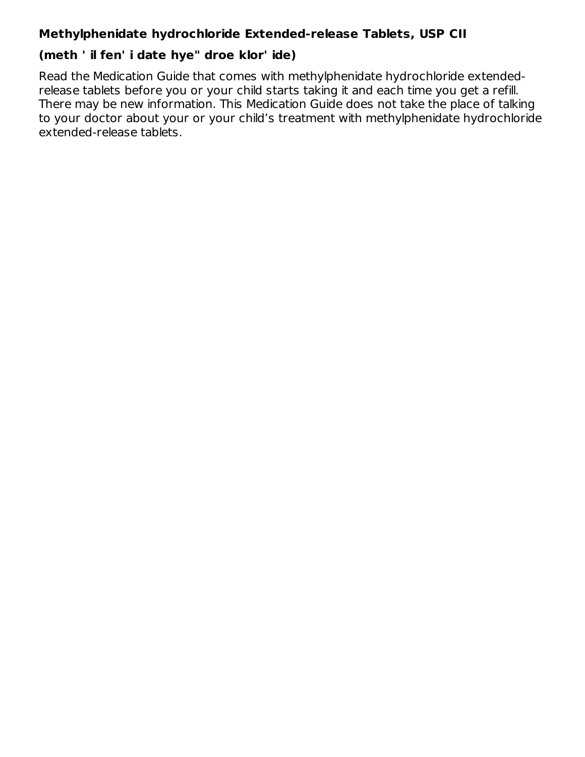#### **Methylphenidate hydrochloride Extended-release Tablets, USP CII**

### **(meth ' il fen' i date hye" droe klor' ide)**

Read the Medication Guide that comes with methylphenidate hydrochloride extendedrelease tablets before you or your child starts taking it and each time you get a refill. There may be new information. This Medication Guide does not take the place of talking to your doctor about your or your child's treatment with methylphenidate hydrochloride extended-release tablets.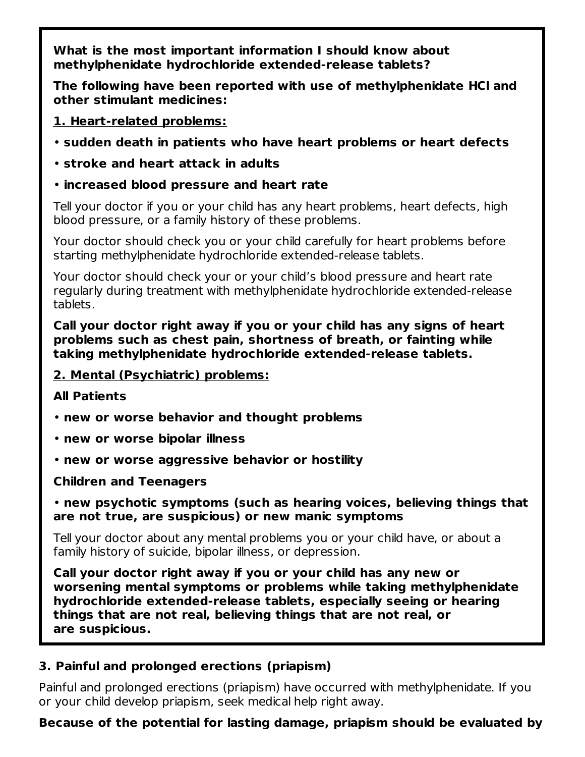**What is the most important information I should know about methylphenidate hydrochloride extended-release tablets?**

**The following have been reported with use of methylphenidate HCl and other stimulant medicines:**

- **1. Heart-related problems:**
- **sudden death in patients who have heart problems or heart defects**
- **stroke and heart attack in adults**

### • **increased blood pressure and heart rate**

Tell your doctor if you or your child has any heart problems, heart defects, high blood pressure, or a family history of these problems.

Your doctor should check you or your child carefully for heart problems before starting methylphenidate hydrochloride extended-release tablets.

Your doctor should check your or your child's blood pressure and heart rate regularly during treatment with methylphenidate hydrochloride extended-release tablets.

**Call your doctor right away if you or your child has any signs of heart problems such as chest pain, shortness of breath, or fainting while taking methylphenidate hydrochloride extended-release tablets.**

### **2. Mental (Psychiatric) problems:**

### **All Patients**

- **new or worse behavior and thought problems**
- **new or worse bipolar illness**
- **new or worse aggressive behavior or hostility**

### **Children and Teenagers**

• **new psychotic symptoms (such as hearing voices, believing things that are not true, are suspicious) or new manic symptoms**

Tell your doctor about any mental problems you or your child have, or about a family history of suicide, bipolar illness, or depression.

**Call your doctor right away if you or your child has any new or worsening mental symptoms or problems while taking methylphenidate hydrochloride extended-release tablets, especially seeing or hearing things that are not real, believing things that are not real, or are suspicious.**

## **3. Painful and prolonged erections (priapism)**

Painful and prolonged erections (priapism) have occurred with methylphenidate. If you or your child develop priapism, seek medical help right away.

### **Because of the potential for lasting damage, priapism should be evaluated by**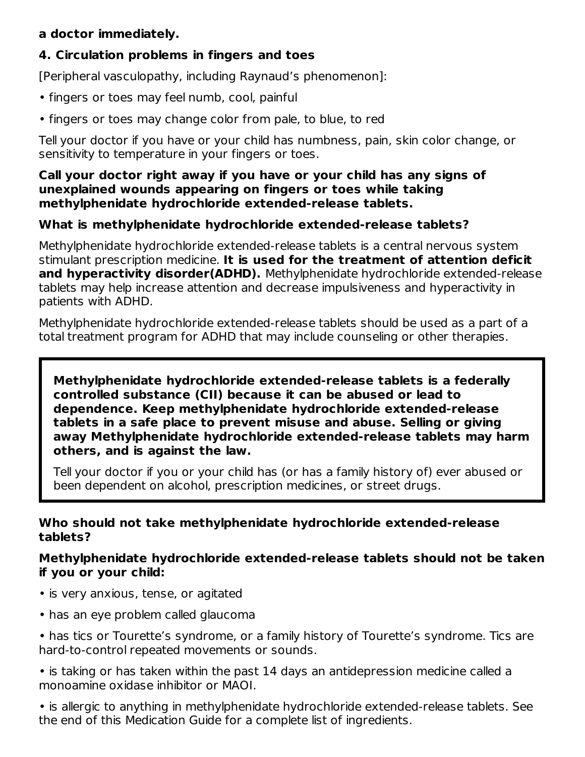#### **a doctor immediately.**

### **4. Circulation problems in fingers and toes**

[Peripheral vasculopathy, including Raynaud's phenomenon]:

- fingers or toes may feel numb, cool, painful
- fingers or toes may change color from pale, to blue, to red

Tell your doctor if you have or your child has numbness, pain, skin color change, or sensitivity to temperature in your fingers or toes.

#### **Call your doctor right away if you have or your child has any signs of unexplained wounds appearing on fingers or toes while taking methylphenidate hydrochloride extended-release tablets.**

#### **What is methylphenidate hydrochloride extended-release tablets?**

Methylphenidate hydrochloride extended-release tablets is a central nervous system stimulant prescription medicine. **It is used for the treatment of attention deficit and hyperactivity disorder(ADHD).** Methylphenidate hydrochloride extended-release tablets may help increase attention and decrease impulsiveness and hyperactivity in patients with ADHD.

Methylphenidate hydrochloride extended-release tablets should be used as a part of a total treatment program for ADHD that may include counseling or other therapies.

**Methylphenidate hydrochloride extended-release tablets is a federally controlled substance (CII) because it can be abused or lead to dependence. Keep methylphenidate hydrochloride extended-release tablets in a safe place to prevent misuse and abuse. Selling or giving away Methylphenidate hydrochloride extended-release tablets may harm others, and is against the law.**

Tell your doctor if you or your child has (or has a family history of) ever abused or been dependent on alcohol, prescription medicines, or street drugs.

#### **Who should not take methylphenidate hydrochloride extended-release tablets?**

#### **Methylphenidate hydrochloride extended-release tablets should not be taken if you or your child:**

- is very anxious, tense, or agitated
- has an eye problem called glaucoma
- has tics or Tourette's syndrome, or a family history of Tourette's syndrome. Tics are hard-to-control repeated movements or sounds.
- is taking or has taken within the past 14 days an antidepression medicine called a monoamine oxidase inhibitor or MAOI.

• is allergic to anything in methylphenidate hydrochloride extended-release tablets. See the end of this Medication Guide for a complete list of ingredients.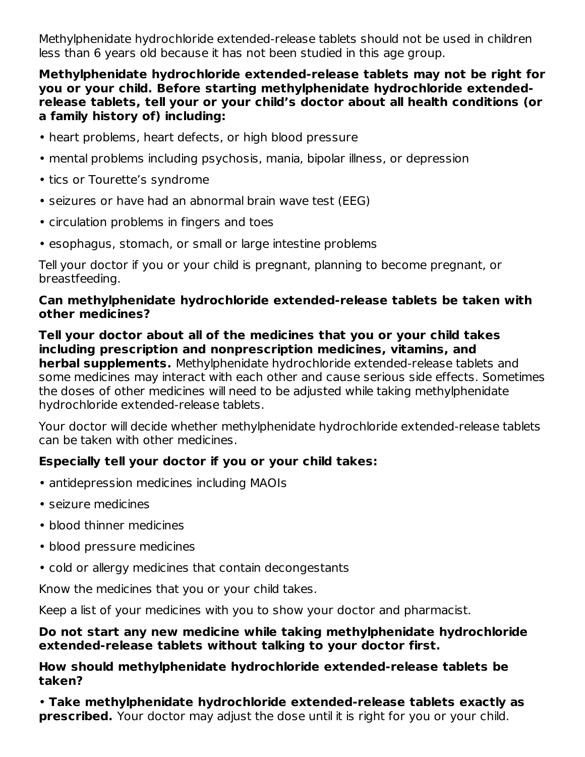Methylphenidate hydrochloride extended-release tablets should not be used in children less than 6 years old because it has not been studied in this age group.

#### **Methylphenidate hydrochloride extended-release tablets may not be right for you or your child. Before starting methylphenidate hydrochloride extendedrelease tablets, tell your or your child's doctor about all health conditions (or a family history of) including:**

- heart problems, heart defects, or high blood pressure
- mental problems including psychosis, mania, bipolar illness, or depression
- tics or Tourette's syndrome
- seizures or have had an abnormal brain wave test (EEG)
- circulation problems in fingers and toes
- esophagus, stomach, or small or large intestine problems

Tell your doctor if you or your child is pregnant, planning to become pregnant, or breastfeeding.

#### **Can methylphenidate hydrochloride extended-release tablets be taken with other medicines?**

# **Tell your doctor about all of the medicines that you or your child takes including prescription and nonprescription medicines, vitamins, and**

**herbal supplements.** Methylphenidate hydrochloride extended-release tablets and some medicines may interact with each other and cause serious side effects. Sometimes the doses of other medicines will need to be adjusted while taking methylphenidate hydrochloride extended-release tablets.

Your doctor will decide whether methylphenidate hydrochloride extended-release tablets can be taken with other medicines.

### **Especially tell your doctor if you or your child takes:**

- antidepression medicines including MAOIs
- seizure medicines
- blood thinner medicines
- blood pressure medicines
- cold or allergy medicines that contain decongestants

Know the medicines that you or your child takes.

Keep a list of your medicines with you to show your doctor and pharmacist.

#### **Do not start any new medicine while taking methylphenidate hydrochloride extended-release tablets without talking to your doctor first.**

#### **How should methylphenidate hydrochloride extended-release tablets be taken?**

• **Take methylphenidate hydrochloride extended-release tablets exactly as prescribed.** Your doctor may adjust the dose until it is right for you or your child.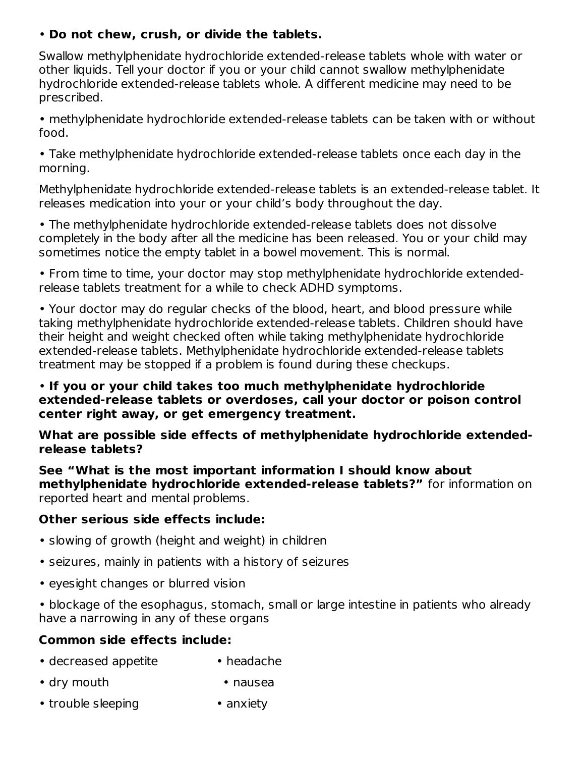#### • **Do not chew, crush, or divide the tablets.**

Swallow methylphenidate hydrochloride extended-release tablets whole with water or other liquids. Tell your doctor if you or your child cannot swallow methylphenidate hydrochloride extended-release tablets whole. A different medicine may need to be prescribed.

• methylphenidate hydrochloride extended-release tablets can be taken with or without food.

• Take methylphenidate hydrochloride extended-release tablets once each day in the morning.

Methylphenidate hydrochloride extended-release tablets is an extended-release tablet. It releases medication into your or your child's body throughout the day.

• The methylphenidate hydrochloride extended-release tablets does not dissolve completely in the body after all the medicine has been released. You or your child may sometimes notice the empty tablet in a bowel movement. This is normal.

• From time to time, your doctor may stop methylphenidate hydrochloride extendedrelease tablets treatment for a while to check ADHD symptoms.

• Your doctor may do regular checks of the blood, heart, and blood pressure while taking methylphenidate hydrochloride extended-release tablets. Children should have their height and weight checked often while taking methylphenidate hydrochloride extended-release tablets. Methylphenidate hydrochloride extended-release tablets treatment may be stopped if a problem is found during these checkups.

#### • **If you or your child takes too much methylphenidate hydrochloride extended-release tablets or overdoses, call your doctor or poison control center right away, or get emergency treatment.**

#### **What are possible side effects of methylphenidate hydrochloride extendedrelease tablets?**

**See "What is the most important information I should know about methylphenidate hydrochloride extended-release tablets?"** for information on reported heart and mental problems.

### **Other serious side effects include:**

- slowing of growth (height and weight) in children
- seizures, mainly in patients with a history of seizures
- eyesight changes or blurred vision
- blockage of the esophagus, stomach, small or large intestine in patients who already have a narrowing in any of these organs

#### **Common side effects include:**

- decreased appetite headache
- dry mouth nausea
- trouble sleeping anxiety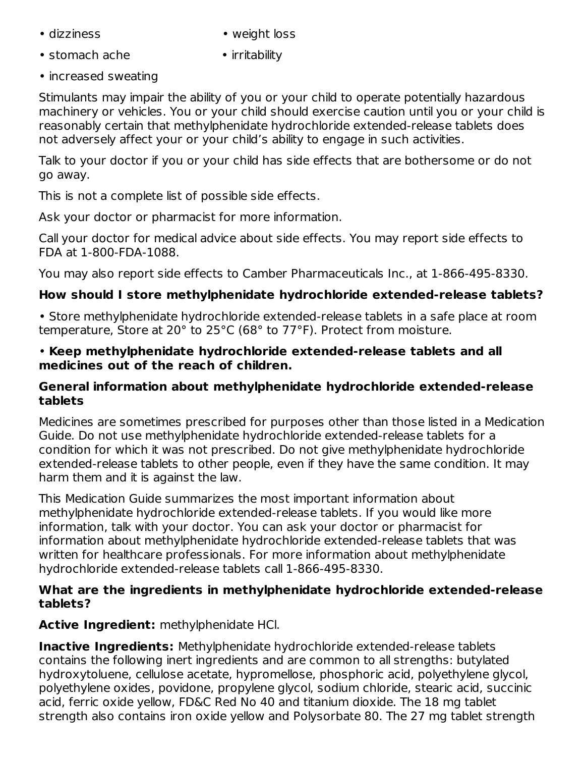- 
- dizziness weight loss
- stomach ache irritability
- 
- increased sweating

Stimulants may impair the ability of you or your child to operate potentially hazardous machinery or vehicles. You or your child should exercise caution until you or your child is reasonably certain that methylphenidate hydrochloride extended-release tablets does not adversely affect your or your child's ability to engage in such activities.

Talk to your doctor if you or your child has side effects that are bothersome or do not go away.

This is not a complete list of possible side effects.

Ask your doctor or pharmacist for more information.

Call your doctor for medical advice about side effects. You may report side effects to FDA at 1-800-FDA-1088.

You may also report side effects to Camber Pharmaceuticals Inc., at 1-866-495-8330.

### **How should I store methylphenidate hydrochloride extended-release tablets?**

• Store methylphenidate hydrochloride extended-release tablets in a safe place at room temperature, Store at 20° to 25°C (68° to 77°F). Protect from moisture.

#### • **Keep methylphenidate hydrochloride extended-release tablets and all medicines out of the reach of children.**

#### **General information about methylphenidate hydrochloride extended-release tablets**

Medicines are sometimes prescribed for purposes other than those listed in a Medication Guide. Do not use methylphenidate hydrochloride extended-release tablets for a condition for which it was not prescribed. Do not give methylphenidate hydrochloride extended-release tablets to other people, even if they have the same condition. It may harm them and it is against the law.

This Medication Guide summarizes the most important information about methylphenidate hydrochloride extended-release tablets. If you would like more information, talk with your doctor. You can ask your doctor or pharmacist for information about methylphenidate hydrochloride extended-release tablets that was written for healthcare professionals. For more information about methylphenidate hydrochloride extended-release tablets call 1-866-495-8330.

#### **What are the ingredients in methylphenidate hydrochloride extended-release tablets?**

### **Active Ingredient:** methylphenidate HCl.

**Inactive Ingredients:** Methylphenidate hydrochloride extended-release tablets contains the following inert ingredients and are common to all strengths: butylated hydroxytoluene, cellulose acetate, hypromellose, phosphoric acid, polyethylene glycol, polyethylene oxides, povidone, propylene glycol, sodium chloride, stearic acid, succinic acid, ferric oxide yellow, FD&C Red No 40 and titanium dioxide. The 18 mg tablet strength also contains iron oxide yellow and Polysorbate 80. The 27 mg tablet strength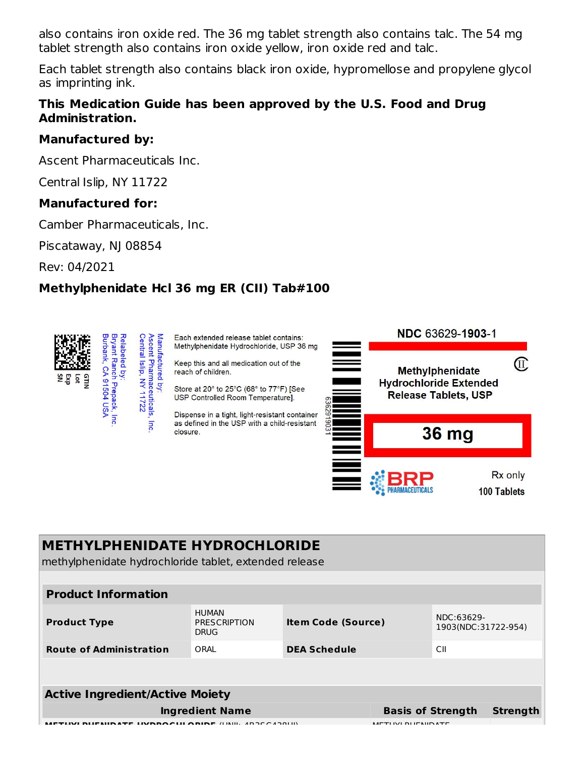also contains iron oxide red. The 36 mg tablet strength also contains talc. The 54 mg tablet strength also contains iron oxide yellow, iron oxide red and talc.

Each tablet strength also contains black iron oxide, hypromellose and propylene glycol as imprinting ink.

#### **This Medication Guide has been approved by the U.S. Food and Drug Administration.**

#### **Manufactured by:**

Ascent Pharmaceuticals Inc.

Central Islip, NY 11722

#### **Manufactured for:**

Camber Pharmaceuticals, Inc.

Piscataway, NJ 08854

Rev: 04/2021

### **Methylphenidate Hcl 36 mg ER (CII) Tab#100**

Manufactured by:<br>Ascent Pharmaceuticals,<br>Central Islip, NY 11722

lnc



Each extended release tablet contains: Methylphenidate Hydrochloride, USP 36 mg

Keep this and all medication out of the reach of children.

Store at 20° to 25°C (68° to 77°F) [See USP Controlled Room Temperature].

Dispense in a tight, light-resistant container as defined in the USP with a child-resistant closure.



| <b>METHYLPHENIDATE HYDROCHLORIDE</b><br>methylphenidate hydrochloride tablet, extended release |                                                    |                            |                         |                                   |  |
|------------------------------------------------------------------------------------------------|----------------------------------------------------|----------------------------|-------------------------|-----------------------------------|--|
|                                                                                                |                                                    |                            |                         |                                   |  |
| <b>Product Information</b>                                                                     |                                                    |                            |                         |                                   |  |
| <b>Product Type</b>                                                                            | <b>HUMAN</b><br><b>PRESCRIPTION</b><br><b>DRUG</b> | <b>Item Code (Source)</b>  |                         | NDC:63629-<br>1903(NDC:31722-954) |  |
| <b>Route of Administration</b>                                                                 | ORAL                                               | CII<br><b>DEA Schedule</b> |                         |                                   |  |
|                                                                                                |                                                    |                            |                         |                                   |  |
| <b>Active Ingredient/Active Moiety</b>                                                         |                                                    |                            |                         |                                   |  |
| <b>Ingredient Name</b><br><b>Basis of Strength</b><br><b>Strength</b>                          |                                                    |                            |                         |                                   |  |
|                                                                                                | $\alpha$ cularine (UNIII, 402042011)               |                            | <b>METUVI DUEMINATE</b> |                                   |  |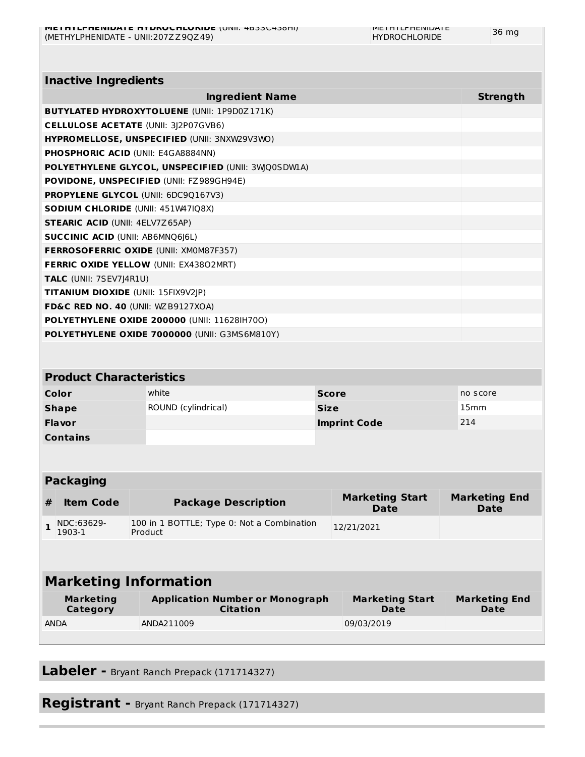| <b>Inactive Ingredients</b>             |                                                           |              |                                       |  |                                     |
|-----------------------------------------|-----------------------------------------------------------|--------------|---------------------------------------|--|-------------------------------------|
|                                         | <b>Ingredient Name</b>                                    |              |                                       |  | <b>Strength</b>                     |
|                                         | <b>BUTYLATED HYDROXYTOLUENE (UNII: 1P9D0Z171K)</b>        |              |                                       |  |                                     |
|                                         | <b>CELLULOSE ACETATE (UNII: 3J2P07GVB6)</b>               |              |                                       |  |                                     |
|                                         | HYPROMELLOSE, UNSPECIFIED (UNII: 3NXW29V3WO)              |              |                                       |  |                                     |
|                                         | <b>PHOSPHORIC ACID (UNII: E4GA8884NN)</b>                 |              |                                       |  |                                     |
|                                         | POLYETHYLENE GLYCOL, UNSPECIFIED (UNII: 3WQ0SDWLA)        |              |                                       |  |                                     |
|                                         | POVIDONE, UNSPECIFIED (UNII: FZ989GH94E)                  |              |                                       |  |                                     |
|                                         | <b>PROPYLENE GLYCOL (UNII: 6DC9Q167V3)</b>                |              |                                       |  |                                     |
|                                         | <b>SODIUM CHLORIDE (UNII: 451W47IQ8X)</b>                 |              |                                       |  |                                     |
| <b>STEARIC ACID (UNII: 4ELV7Z65AP)</b>  |                                                           |              |                                       |  |                                     |
| <b>SUCCINIC ACID (UNII: AB6MNQ6J6L)</b> |                                                           |              |                                       |  |                                     |
|                                         | <b>FERROSOFERRIC OXIDE (UNII: XM0M87F357)</b>             |              |                                       |  |                                     |
|                                         | <b>FERRIC OXIDE YELLOW (UNII: EX43802MRT)</b>             |              |                                       |  |                                     |
| TALC (UNII: 7SEV7J4R1U)                 |                                                           |              |                                       |  |                                     |
| TITANIUM DIOXIDE (UNII: 15FIX9V2JP)     |                                                           |              |                                       |  |                                     |
|                                         | FD&C RED NO. 40 (UNII: WZB9127XOA)                        |              |                                       |  |                                     |
|                                         | POLYETHYLENE OXIDE 200000 (UNII: 11628IH700)              |              |                                       |  |                                     |
|                                         | POLYETHYLENE OXIDE 7000000 (UNII: G3MS6M810Y)             |              |                                       |  |                                     |
|                                         |                                                           |              |                                       |  |                                     |
| <b>Product Characteristics</b>          |                                                           |              |                                       |  |                                     |
| Color                                   | white                                                     | <b>Score</b> |                                       |  | no score                            |
| <b>Shape</b>                            | ROUND (cylindrical)                                       | <b>Size</b>  |                                       |  | 15 <sub>mm</sub>                    |
| Flavor                                  |                                                           |              | <b>Imprint Code</b>                   |  | 214                                 |
| <b>Contains</b>                         |                                                           |              |                                       |  |                                     |
|                                         |                                                           |              |                                       |  |                                     |
| <b>Packaging</b>                        |                                                           |              |                                       |  |                                     |
| <b>Item Code</b><br>#                   | <b>Package Description</b>                                |              | <b>Marketing Start</b><br><b>Date</b> |  | <b>Marketing End</b><br><b>Date</b> |
| NDC:63629-<br>$\mathbf{1}$<br>1903-1    | 100 in 1 BOTTLE; Type 0: Not a Combination<br>Product     |              | 12/21/2021                            |  |                                     |
|                                         |                                                           |              |                                       |  |                                     |
| <b>Marketing Information</b>            |                                                           |              |                                       |  |                                     |
| <b>Marketing</b><br>Category            | <b>Application Number or Monograph</b><br><b>Citation</b> |              | <b>Marketing Start</b><br><b>Date</b> |  | <b>Marketing End</b><br><b>Date</b> |
| <b>ANDA</b>                             | ANDA211009                                                |              | 09/03/2019                            |  |                                     |
|                                         |                                                           |              |                                       |  |                                     |

**Labeler -** Bryant Ranch Prepack (171714327)

**Registrant -** Bryant Ranch Prepack (171714327)